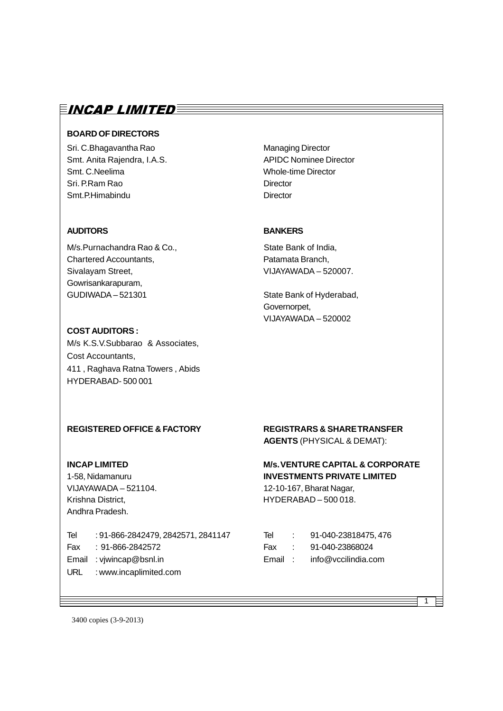### $\bar{\bm{\Xi}}$ incap limited $\bar{\bm{\Xi}}$

#### **BOARD OF DIRECTORS**

Sri. C.Bhagavantha Rao Managing Director Smt. Anita Rajendra, I.A.S. Anita Rajendra, I.A.S. Smt. C.Neelima Whole-time Director Sri. P.Ram Rao Director Smt.P.Himabindu Director

Governorpet,

VIJAYAWADA – 520002

### AUDITORS BANKERS

M/s.Purnachandra Rao & Co., State Bank of India, Chartered Accountants, The Chartered Accountants, Patamata Branch, Sivalayam Street, Sivalayam Street, Sivalayam Street, Sivalayam Nujaram Nujaram Nujaram Nujaram Nujaram Nujara Gowrisankarapuram, GUDIWADA – 521301 State Bank of Hyderabad,

### **COST AUDITORS :**

M/s K.S.V.Subbarao & Associates, Cost Accountants, 411 , Raghava Ratna Towers , Abids HYDERABAD- 500 001

## **REGISTERED OFFICE & FACTORY REGISTRARS & SHARE TRANSFER**

**AGENTS** (PHYSICAL & DEMAT):

### **INCAP LIMITED M/s. VENTURE CAPITAL & CORPORATE** 1-58, Nidamanuru **INVESTMENTS PRIVATE LIMITED**

1

Krishna District. The Contract of the HYDERABAD – 500 018.

| Tel | 91-040-23818475, 476 |
|-----|----------------------|
|     |                      |

Fax : 91-866-2842572 Fax : 91-040-23868024

Email : vjwincap@bsnl.in Email : info@vccilindia.com

VIJAYAWADA – 521104. 12-10-167, Bharat Nagar, Andhra Pradesh.

Tel : 91-866-2842479, 2842571, 2841147

URL : www.incaplimited.com

3400 copies (3-9-2013)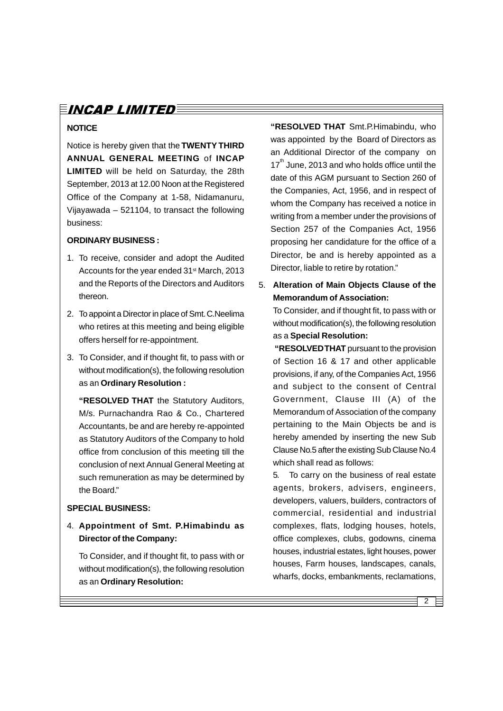### $\bar{E}$ incap limited $\bar{E}$

### **NOTICE**

Notice is hereby given that the **TWENTY THIRD ANNUAL GENERAL MEETING** of **INCAP LIMITED** will be held on Saturday, the 28th September, 2013 at 12.00 Noon at the Registered Office of the Company at 1-58, Nidamanuru, Vijayawada – 521104, to transact the following business:

#### **ORDINARY BUSINESS :**

- 1. To receive, consider and adopt the Audited Accounts for the year ended 31st March, 2013 and the Reports of the Directors and Auditors thereon.
- 2. To appoint a Director in place of Smt. C.Neelima who retires at this meeting and being eligible offers herself for re-appointment.
- 3. To Consider, and if thought fit, to pass with or without modification(s), the following resolution as an **Ordinary Resolution :**

**"RESOLVED THAT** the Statutory Auditors, M/s. Purnachandra Rao & Co., Chartered Accountants, be and are hereby re-appointed as Statutory Auditors of the Company to hold office from conclusion of this meeting till the conclusion of next Annual General Meeting at such remuneration as may be determined by the Board."

#### **SPECIAL BUSINESS:**

4. **Appointment of Smt. P.Himabindu as Director of the Company:**

To Consider, and if thought fit, to pass with or without modification(s), the following resolution as an **Ordinary Resolution:**

**"RESOLVED THAT** Smt.P.Himabindu, who was appointed by the Board of Directors as an Additional Director of the company on  $17<sup>th</sup>$  June, 2013 and who holds office until the date of this AGM pursuant to Section 260 of the Companies, Act, 1956, and in respect of whom the Company has received a notice in writing from a member under the provisions of Section 257 of the Companies Act, 1956 proposing her candidature for the office of a Director, be and is hereby appointed as a Director, liable to retire by rotation."

5. **Alteration of Main Objects Clause of the Memorandum of Association:**

To Consider, and if thought fit, to pass with or without modification(s), the following resolution as a **Special Resolution:**

**"RESOLVED THAT** pursuant to the provision of Section 16 & 17 and other applicable provisions, if any, of the Companies Act, 1956 and subject to the consent of Central Government, Clause III (A) of the Memorandum of Association of the company pertaining to the Main Objects be and is hereby amended by inserting the new Sub Clause No.5 after the existing Sub Clause No.4 which shall read as follows:

5. To carry on the business of real estate agents, brokers, advisers, engineers, developers, valuers, builders, contractors of commercial, residential and industrial complexes, flats, lodging houses, hotels, office complexes, clubs, godowns, cinema houses, industrial estates, light houses, power houses, Farm houses, landscapes, canals, wharfs, docks, embankments, reclamations,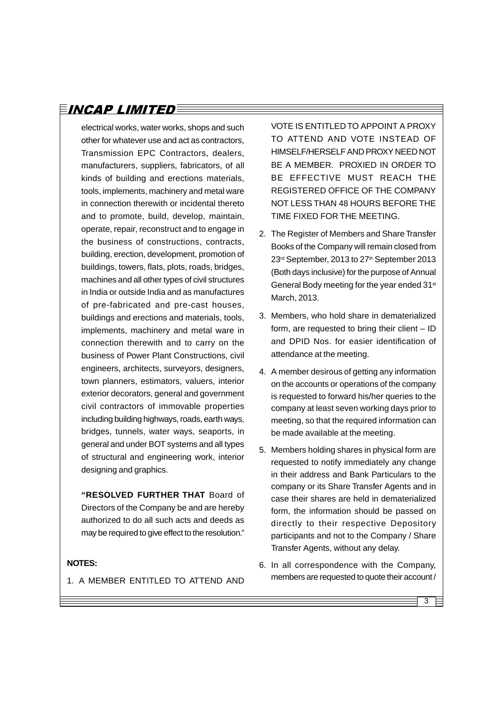### $\bar{E}$ incap limited $\bar{E}$

electrical works, water works, shops and such other for whatever use and act as contractors, Transmission EPC Contractors, dealers, manufacturers, suppliers, fabricators, of all kinds of building and erections materials, tools, implements, machinery and metal ware in connection therewith or incidental thereto and to promote, build, develop, maintain, operate, repair, reconstruct and to engage in the business of constructions, contracts, building, erection, development, promotion of buildings, towers, flats, plots, roads, bridges, machines and all other types of civil structures in India or outside India and as manufactures of pre-fabricated and pre-cast houses, buildings and erections and materials, tools, implements, machinery and metal ware in connection therewith and to carry on the business of Power Plant Constructions, civil engineers, architects, surveyors, designers, town planners, estimators, valuers, interior exterior decorators, general and government civil contractors of immovable properties including building highways, roads, earth ways, bridges, tunnels, water ways, seaports, in general and under BOT systems and all types of structural and engineering work, interior designing and graphics.

**"RESOLVED FURTHER THAT** Board of Directors of the Company be and are hereby authorized to do all such acts and deeds as may be required to give effect to the resolution."

#### **NOTES:**

1. A MEMBER ENTITLED TO ATTEND AND

VOTE IS ENTITLED TO APPOINT A PROXY TO ATTEND AND VOTE INSTEAD OF HIMSELF/HERSELF AND PROXY NEED NOT BE A MEMBER. PROXIED IN ORDER TO BE EFFECTIVE MUST REACH THE REGISTERED OFFICE OF THE COMPANY NOT LESS THAN 48 HOURS BEFORE THE TIME FIXED FOR THE MEETING.

- 2. The Register of Members and Share Transfer Books of the Company will remain closed from 23<sup>rd</sup> September, 2013 to 27<sup>th</sup> September 2013 (Both days inclusive) for the purpose of Annual General Body meeting for the year ended 31<sup>st</sup> March, 2013.
- 3. Members, who hold share in dematerialized form, are requested to bring their client  $-$  ID and DPID Nos. for easier identification of attendance at the meeting.
- 4. A member desirous of getting any information on the accounts or operations of the company is requested to forward his/her queries to the company at least seven working days prior to meeting, so that the required information can be made available at the meeting.
- 5. Members holding shares in physical form are requested to notify immediately any change in their address and Bank Particulars to the company or its Share Transfer Agents and in case their shares are held in dematerialized form, the information should be passed on directly to their respective Depository participants and not to the Company / Share Transfer Agents, without any delay.
- 6. In all correspondence with the Company, members are requested to quote their account /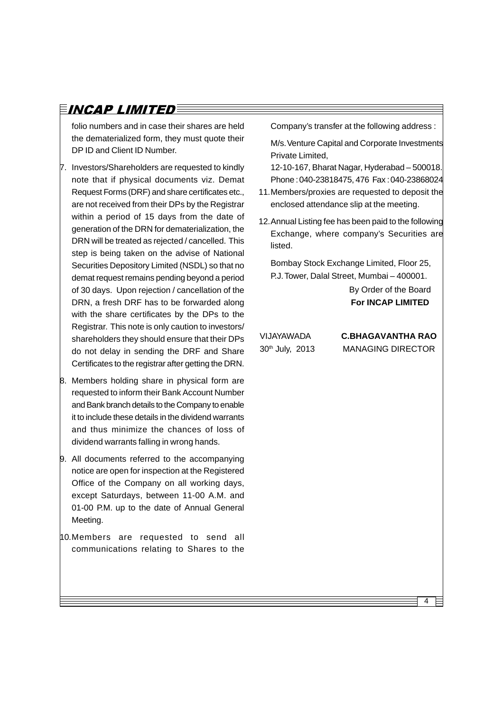### $\equiv$ incap limited $\equiv$

folio numbers and in case their shares are held the dematerialized form, they must quote their DP ID and Client ID Number.

- 7. Investors/Shareholders are requested to kindly note that if physical documents viz. Demat Request Forms (DRF) and share certificates etc., are not received from their DPs by the Registrar within a period of 15 days from the date of generation of the DRN for dematerialization, the DRN will be treated as rejected / cancelled. This step is being taken on the advise of National Securities Depository Limited (NSDL) so that no demat request remains pending beyond a period of 30 days. Upon rejection / cancellation of the DRN, a fresh DRF has to be forwarded along with the share certificates by the DPs to the Registrar. This note is only caution to investors/ shareholders they should ensure that their DPs do not delay in sending the DRF and Share Certificates to the registrar after getting the DRN.
- 8. Members holding share in physical form are requested to inform their Bank Account Number and Bank branch details to the Company to enable it to include these details in the dividend warrants and thus minimize the chances of loss of dividend warrants falling in wrong hands.
- 9. All documents referred to the accompanying notice are open for inspection at the Registered Office of the Company on all working days, except Saturdays, between 11-00 A.M. and 01-00 P.M. up to the date of Annual General Meeting.
- 10.Members are requested to send all communications relating to Shares to the

Company's transfer at the following address :

M/s. Venture Capital and Corporate Investments Private Limited,

12-10-167, Bharat Nagar, Hyderabad – 500018. Phone : 040-23818475, 476 Fax : 040-23868024

- 11.Members/proxies are requested to deposit the enclosed attendance slip at the meeting.
- 12.Annual Listing fee has been paid to the following Exchange, where company's Securities are listed.

Bombay Stock Exchange Limited, Floor 25, P.J. Tower, Dalal Street, Mumbai – 400001.

> By Order of the Board **For INCAP LIMITED**

VIJAYAWADA 30th July, 2013 **C.BHAGAVANTHA RAO** MANAGING DIRECTOR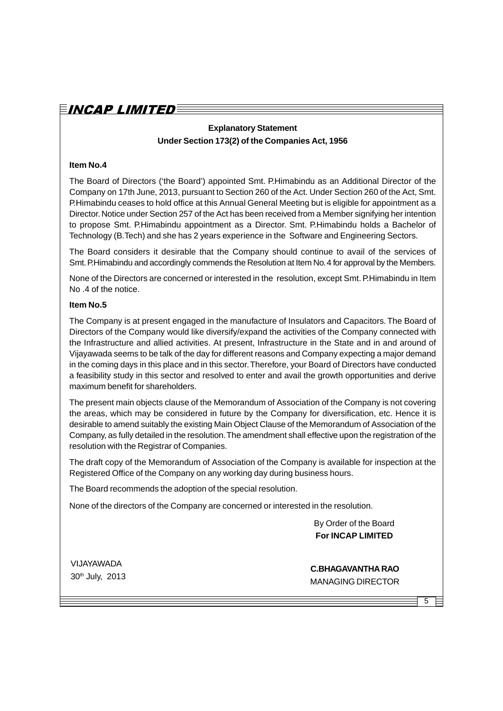### $\equiv$ incap limited $\equiv$

### **Explanatory Statement Under Section 173(2) of the Companies Act, 1956**

#### **Item No.4**

The Board of Directors ('the Board') appointed Smt. P.Himabindu as an Additional Director of the Company on 17th June, 2013, pursuant to Section 260 of the Act. Under Section 260 of the Act, Smt. P.Himabindu ceases to hold office at this Annual General Meeting but is eligible for appointment as a Director. Notice under Section 257 of the Act has been received from a Member signifying her intention to propose Smt. P.Himabindu appointment as a Director. Smt. P.Himabindu holds a Bachelor of Technology (B.Tech) and she has 2 years experience in the Software and Engineering Sectors.

The Board considers it desirable that the Company should continue to avail of the services of Smt. P.Himabindu and accordingly commends the Resolution at Item No. 4 for approval by the Members.

None of the Directors are concerned or interested in the resolution, except Smt. P.Himabindu in Item No .4 of the notice.

#### **Item No.5**

The Company is at present engaged in the manufacture of Insulators and Capacitors. The Board of Directors of the Company would like diversify/expand the activities of the Company connected with the Infrastructure and allied activities. At present, Infrastructure in the State and in and around of Vijayawada seems to be talk of the day for different reasons and Company expecting a major demand in the coming days in this place and in this sector. Therefore, your Board of Directors have conducted a feasibility study in this sector and resolved to enter and avail the growth opportunities and derive maximum benefit for shareholders.

The present main objects clause of the Memorandum of Association of the Company is not covering the areas, which may be considered in future by the Company for diversification, etc. Hence it is desirable to amend suitably the existing Main Object Clause of the Memorandum of Association of the Company, as fully detailed in the resolution. The amendment shall effective upon the registration of the resolution with the Registrar of Companies.

The draft copy of the Memorandum of Association of the Company is available for inspection at the Registered Office of the Company on any working day during business hours.

The Board recommends the adoption of the special resolution.

None of the directors of the Company are concerned or interested in the resolution.

By Order of the Board **For INCAP LIMITED**

VIJAYAWADA 30th July, 2013

**C.BHAGAVANTHA RAO** MANAGING DIRECTOR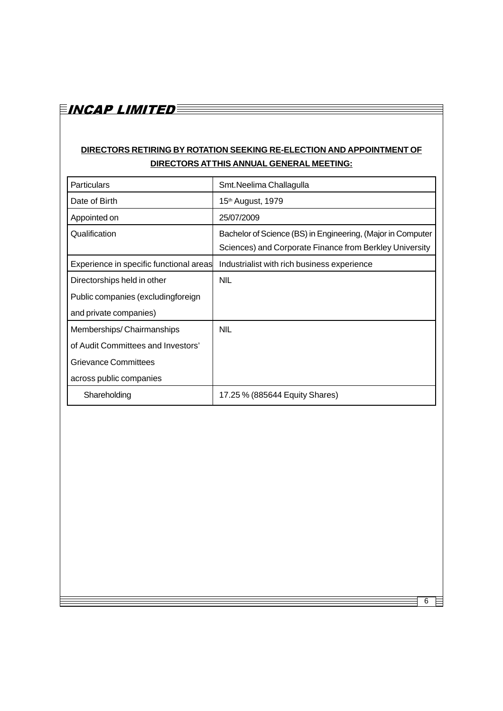### $\equiv$ incap Limited $\equiv$

### **DIRECTORS RETIRING BY ROTATION SEEKING RE-ELECTION AND APPOINTMENT OF DIRECTORS AT THIS ANNUAL GENERAL MEETING:**

| <b>Particulars</b>                      | Smt.Neelima Challagulla                                     |
|-----------------------------------------|-------------------------------------------------------------|
| Date of Birth                           | 15 <sup>th</sup> August, 1979                               |
| Appointed on                            | 25/07/2009                                                  |
| Qualification                           | Bachelor of Science (BS) in Engineering, (Major in Computer |
|                                         | Sciences) and Corporate Finance from Berkley University     |
| Experience in specific functional areas | Industrialist with rich business experience                 |
| Directorships held in other             | <b>NIL</b>                                                  |
| Public companies (excludingforeign      |                                                             |
| and private companies)                  |                                                             |
| Memberships/Chairmanships               | <b>NIL</b>                                                  |
| of Audit Committees and Investors'      |                                                             |
| <b>Grievance Committees</b>             |                                                             |
| across public companies                 |                                                             |
| Shareholding                            | 17.25 % (885644 Equity Shares)                              |

 $\overline{6}$ 

 $\equiv$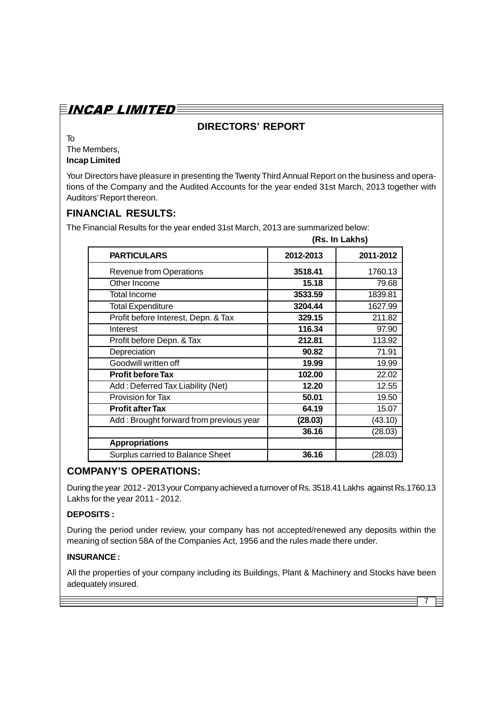### $\bar{=}$ incap limited $\bar{\bar{}}$

### **DIRECTORS' REPORT**

To

The Members, **Incap Limited**

Your Directors have pleasure in presenting the Twenty Third Annual Report on the business and operations of the Company and the Audited Accounts for the year ended 31st March, 2013 together with Auditors' Report thereon.

### **FINANCIAL RESULTS:**

The Financial Results for the year ended 31st March, 2013 are summarized below:

|                                         |           | (Rs. In Lakhs) |
|-----------------------------------------|-----------|----------------|
| <b>PARTICULARS</b>                      | 2012-2013 | 2011-2012      |
| Revenue from Operations                 | 3518.41   | 1760.13        |
| Other Income                            | 15.18     | 79.68          |
| <b>Total Income</b>                     | 3533.59   | 1839.81        |
| <b>Total Expenditure</b>                | 3204.44   | 1627.99        |
| Profit before Interest, Depn. & Tax     | 329.15    | 211.82         |
| Interest                                | 116.34    | 97.90          |
| Profit before Depn. & Tax               | 212.81    | 113.92         |
| Depreciation                            | 90.82     | 71.91          |
| Goodwill written off                    | 19.99     | 19.99          |
| <b>Profit before Tax</b>                | 102.00    | 22.02          |
| Add: Deferred Tax Liability (Net)       | 12.20     | 12.55          |
| Provision for Tax                       | 50.01     | 19.50          |
| <b>Profit after Tax</b>                 | 64.19     | 15.07          |
| Add: Brought forward from previous year | (28.03)   | (43.10)        |
|                                         | 36.16     | (28.03)        |
| <b>Appropriations</b>                   |           |                |
| Surplus carried to Balance Sheet        | 36.16     | (28.03)        |

### **COMPANY'S OPERATIONS:**

During the year 2012 - 2013 your Company achieved a turnover of Rs. 3518.41 Lakhs against Rs.1760.13 Lakhs for the year 2011 - 2012.

### **DEPOSITS :**

During the period under review, your company has not accepted/renewed any deposits within the meaning of section 58A of the Companies Act, 1956 and the rules made there under.

### **INSURANCE :**

All the properties of your company including its Buildings, Plant & Machinery and Stocks have been adequately insured.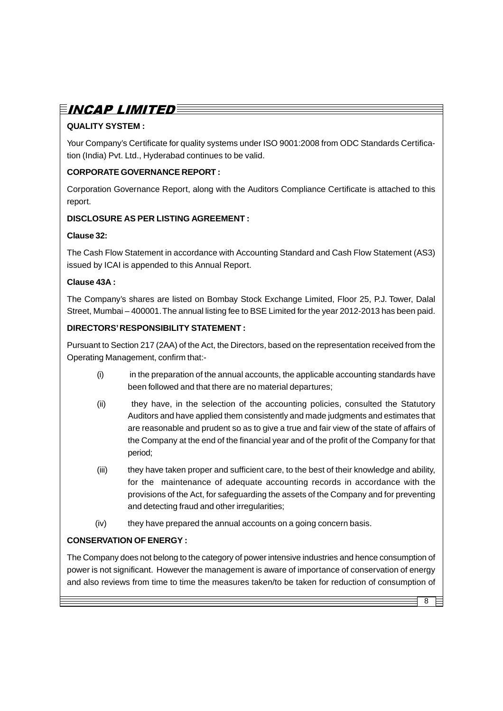### **QUALITY SYSTEM :**

Your Company's Certificate for quality systems under ISO 9001:2008 from ODC Standards Certification (India) Pvt. Ltd., Hyderabad continues to be valid.

### **CORPORATE GOVERNANCE REPORT :**

Corporation Governance Report, along with the Auditors Compliance Certificate is attached to this report.

### **DISCLOSURE AS PER LISTING AGREEMENT :**

### **Clause 32:**

The Cash Flow Statement in accordance with Accounting Standard and Cash Flow Statement (AS3) issued by ICAI is appended to this Annual Report.

### **Clause 43A :**

The Company's shares are listed on Bombay Stock Exchange Limited, Floor 25, P.J. Tower, Dalal Street, Mumbai – 400001. The annual listing fee to BSE Limited for the year 2012-2013 has been paid.

### **DIRECTORS' RESPONSIBILITY STATEMENT :**

Pursuant to Section 217 (2AA) of the Act, the Directors, based on the representation received from the Operating Management, confirm that:-

- (i) in the preparation of the annual accounts, the applicable accounting standards have been followed and that there are no material departures;
- (ii) they have, in the selection of the accounting policies, consulted the Statutory Auditors and have applied them consistently and made judgments and estimates that are reasonable and prudent so as to give a true and fair view of the state of affairs of the Company at the end of the financial year and of the profit of the Company for that period;
- (iii) they have taken proper and sufficient care, to the best of their knowledge and ability, for the maintenance of adequate accounting records in accordance with the provisions of the Act, for safeguarding the assets of the Company and for preventing and detecting fraud and other irregularities;
- (iv) they have prepared the annual accounts on a going concern basis.

### **CONSERVATION OF ENERGY :**

The Company does not belong to the category of power intensive industries and hence consumption of power is not significant. However the management is aware of importance of conservation of energy and also reviews from time to time the measures taken/to be taken for reduction of consumption of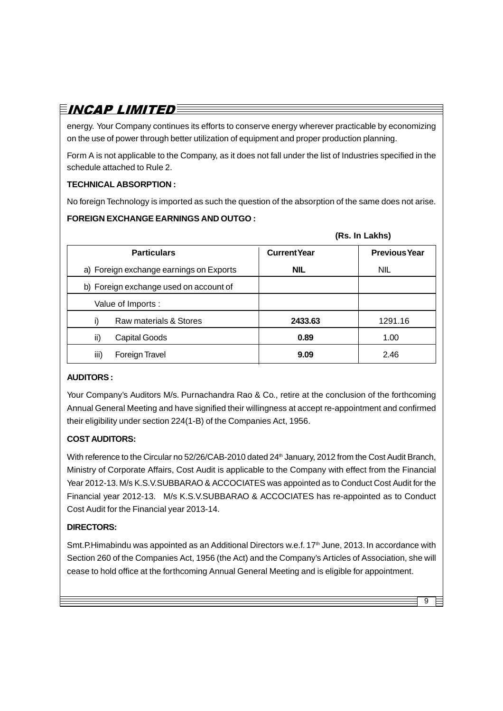energy. Your Company continues its efforts to conserve energy wherever practicable by economizing on the use of power through better utilization of equipment and proper production planning.

Form A is not applicable to the Company, as it does not fall under the list of Industries specified in the schedule attached to Rule 2.

### **TECHNICAL ABSORPTION :**

No foreign Technology is imported as such the question of the absorption of the same does not arise.

### **FOREIGN EXCHANGE EARNINGS AND OUTGO :**

|                                         |                     | (Rs. In Lakhs)       |
|-----------------------------------------|---------------------|----------------------|
| <b>Particulars</b>                      | <b>Current Year</b> | <b>Previous Year</b> |
| a) Foreign exchange earnings on Exports | <b>NIL</b>          | <b>NIL</b>           |
| b) Foreign exchange used on account of  |                     |                      |
| Value of Imports :                      |                     |                      |
| Raw materials & Stores<br>i)            | 2433.63             | 1291.16              |
| ii)<br><b>Capital Goods</b>             | 0.89                | 1.00                 |
| iii)<br>Foreign Travel                  | 9.09                | 2.46                 |

### **AUDITORS :**

Your Company's Auditors M/s. Purnachandra Rao & Co., retire at the conclusion of the forthcoming Annual General Meeting and have signified their willingness at accept re-appointment and confirmed their eligibility under section 224(1-B) of the Companies Act, 1956.

### **COST AUDITORS:**

With reference to the Circular no 52/26/CAB-2010 dated 24<sup>th</sup> January, 2012 from the Cost Audit Branch, Ministry of Corporate Affairs, Cost Audit is applicable to the Company with effect from the Financial Year 2012-13. M/s K.S.V.SUBBARAO & ACCOCIATES was appointed as to Conduct Cost Audit for the Financial year 2012-13. M/s K.S.V.SUBBARAO & ACCOCIATES has re-appointed as to Conduct Cost Audit for the Financial year 2013-14.

### **DIRECTORS:**

Smt.P.Himabindu was appointed as an Additional Directors w.e.f. 17<sup>th</sup> June, 2013. In accordance with Section 260 of the Companies Act, 1956 (the Act) and the Company's Articles of Association, she will cease to hold office at the forthcoming Annual General Meeting and is eligible for appointment.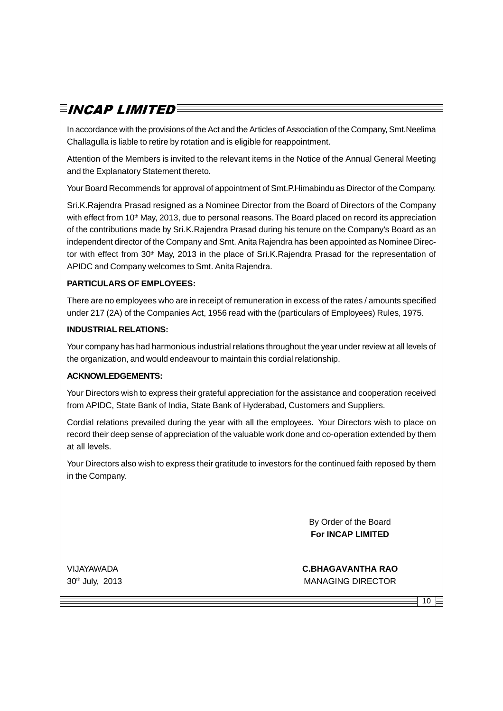In accordance with the provisions of the Act and the Articles of Association of the Company, Smt.Neelima Challagulla is liable to retire by rotation and is eligible for reappointment.

Attention of the Members is invited to the relevant items in the Notice of the Annual General Meeting and the Explanatory Statement thereto.

Your Board Recommends for approval of appointment of Smt.P.Himabindu as Director of the Company.

Sri.K.Rajendra Prasad resigned as a Nominee Director from the Board of Directors of the Company with effect from  $10<sup>th</sup>$  May, 2013, due to personal reasons. The Board placed on record its appreciation of the contributions made by Sri.K.Rajendra Prasad during his tenure on the Company's Board as an independent director of the Company and Smt. Anita Rajendra has been appointed as Nominee Director with effect from 30<sup>th</sup> May, 2013 in the place of Sri.K.Rajendra Prasad for the representation of APIDC and Company welcomes to Smt. Anita Rajendra.

### **PARTICULARS OF EMPLOYEES:**

There are no employees who are in receipt of remuneration in excess of the rates / amounts specified under 217 (2A) of the Companies Act, 1956 read with the (particulars of Employees) Rules, 1975.

### **INDUSTRIAL RELATIONS:**

Your company has had harmonious industrial relations throughout the year under review at all levels of the organization, and would endeavour to maintain this cordial relationship.

### **ACKNOWLEDGEMENTS:**

Your Directors wish to express their grateful appreciation for the assistance and cooperation received from APIDC, State Bank of India, State Bank of Hyderabad, Customers and Suppliers.

Cordial relations prevailed during the year with all the employees. Your Directors wish to place on record their deep sense of appreciation of the valuable work done and co-operation extended by them at all levels.

Your Directors also wish to express their gratitude to investors for the continued faith reposed by them in the Company.

> By Order of the Board **For INCAP LIMITED**

VIJAYAWADA 30th July, 2013 **C.BHAGAVANTHA RAO** MANAGING DIRECTOR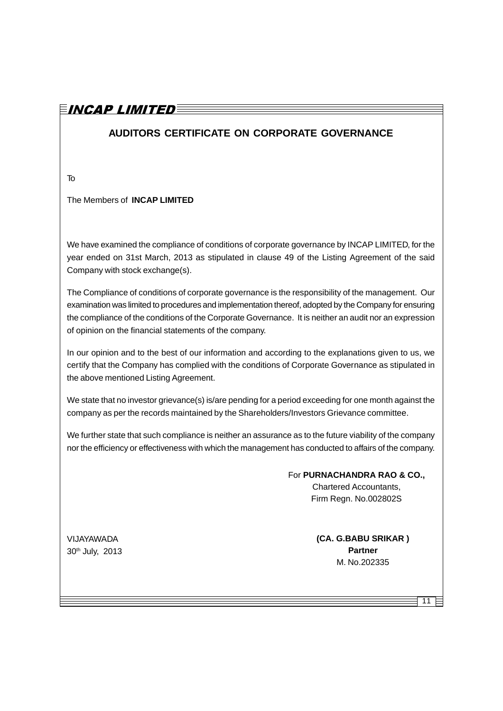### $\bar{\bm{\Xi}}$ incap limited $\bar{\bm{\Xi}}$

### **AUDITORS CERTIFICATE ON CORPORATE GOVERNANCE**

To

The Members of **INCAP LIMITED**

We have examined the compliance of conditions of corporate governance by INCAP LIMITED, for the year ended on 31st March, 2013 as stipulated in clause 49 of the Listing Agreement of the said Company with stock exchange(s).

The Compliance of conditions of corporate governance is the responsibility of the management. Our examination was limited to procedures and implementation thereof, adopted by the Company for ensuring the compliance of the conditions of the Corporate Governance. It is neither an audit nor an expression of opinion on the financial statements of the company.

In our opinion and to the best of our information and according to the explanations given to us, we certify that the Company has complied with the conditions of Corporate Governance as stipulated in the above mentioned Listing Agreement.

We state that no investor grievance(s) is/are pending for a period exceeding for one month against the company as per the records maintained by the Shareholders/Investors Grievance committee.

We further state that such compliance is neither an assurance as to the future viability of the company nor the efficiency or effectiveness with which the management has conducted to affairs of the company.

> For **PURNACHANDRA RAO & CO.,** Chartered Accountants, Firm Regn. No.002802S

VIJAYAWADA 30th July, 2013 **(CA. G.BABU SRIKAR ) Partner** M. No.202335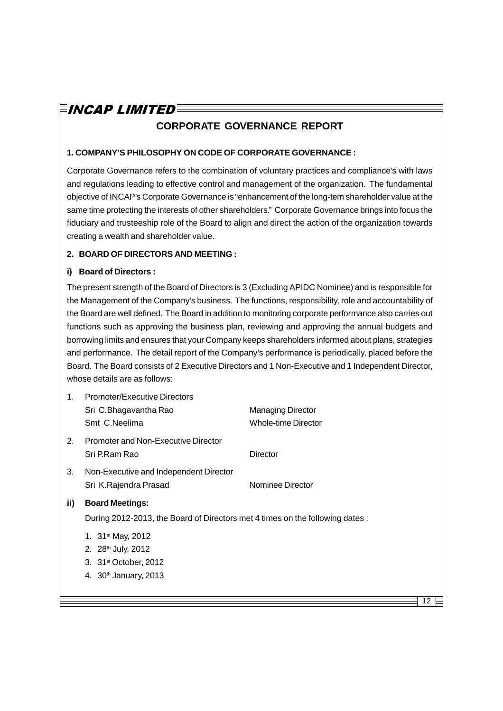### $\bar{\bm{\Xi}}$ incap limited $\bar{\bm{\Xi}}$ **CORPORATE GOVERNANCE REPORT**

### **1. COMPANY'S PHILOSOPHY ON CODE OF CORPORATE GOVERNANCE :**

Corporate Governance refers to the combination of voluntary practices and compliance's with laws and regulations leading to effective control and management of the organization. The fundamental objective of INCAP's Corporate Governance is "enhancement of the long-tem shareholder value at the same time protecting the interests of other shareholders." Corporate Governance brings into focus the fiduciary and trusteeship role of the Board to align and direct the action of the organization towards creating a wealth and shareholder value.

#### **2. BOARD OF DIRECTORS AND MEETING :**

#### **i) Board of Directors :**

The present strength of the Board of Directors is 3 (Excluding APIDC Nominee) and is responsible for the Management of the Company's business. The functions, responsibility, role and accountability of the Board are well defined. The Board in addition to monitoring corporate performance also carries out functions such as approving the business plan, reviewing and approving the annual budgets and borrowing limits and ensures that your Company keeps shareholders informed about plans, strategies and performance. The detail report of the Company's performance is periodically, placed before the Board. The Board consists of 2 Executive Directors and 1 Non-Executive and 1 Independent Director, whose details are as follows:

|     |                                                                              |                          | 12 |  |
|-----|------------------------------------------------------------------------------|--------------------------|----|--|
|     | 4. 30 <sup>th</sup> January, 2013                                            |                          |    |  |
|     |                                                                              |                          |    |  |
|     | 3. 31 <sup>st</sup> October, 2012                                            |                          |    |  |
|     | 2. 28 <sup>th</sup> July, 2012                                               |                          |    |  |
|     | 1. 31 <sup>st</sup> May, 2012                                                |                          |    |  |
|     | During 2012-2013, the Board of Directors met 4 times on the following dates: |                          |    |  |
| ii) | <b>Board Meetings:</b>                                                       |                          |    |  |
| 3.  | Non-Executive and Independent Director<br>Sri K.Rajendra Prasad              | Nominee Director         |    |  |
| 2.  | Promoter and Non-Executive Director<br>Sri P.Ram Rao                         | Director                 |    |  |
|     | Smt C.Neelima                                                                | Whole-time Director      |    |  |
|     | Promoter/Executive Directors<br>Sri C.Bhagavantha Rao                        | <b>Managing Director</b> |    |  |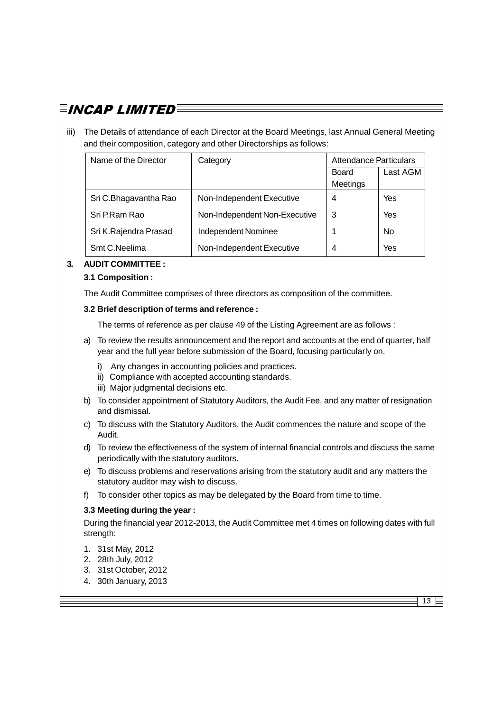iii) The Details of attendance of each Director at the Board Meetings, last Annual General Meeting and their composition, category and other Directorships as follows:

| Name of the Director  | Category                      | Attendance Particulars |                |
|-----------------------|-------------------------------|------------------------|----------------|
|                       |                               | Last AGM<br>Board      |                |
|                       |                               | Meetings               |                |
| Sri C.Bhagavantha Rao | Non-Independent Executive     | 4                      | Yes            |
| Sri P.Ram Rao         | Non-Independent Non-Executive | 3                      | Yes            |
| Sri K.Rajendra Prasad | <b>Independent Nominee</b>    |                        | N <sub>0</sub> |
| Smt C.Neelima         | Non-Independent Executive     | 4                      | Yes            |

### **3. AUDIT COMMITTEE :**

### **3.1 Composition :**

The Audit Committee comprises of three directors as composition of the committee.

#### **3.2 Brief description of terms and reference :**

The terms of reference as per clause 49 of the Listing Agreement are as follows :

- a) To review the results announcement and the report and accounts at the end of quarter, half year and the full year before submission of the Board, focusing particularly on.
	- i) Any changes in accounting policies and practices.
	- ii) Compliance with accepted accounting standards.
	- iii) Major judgmental decisions etc.
- b) To consider appointment of Statutory Auditors, the Audit Fee, and any matter of resignation and dismissal.
- c) To discuss with the Statutory Auditors, the Audit commences the nature and scope of the Audit.
- d) To review the effectiveness of the system of internal financial controls and discuss the same periodically with the statutory auditors.
- e) To discuss problems and reservations arising from the statutory audit and any matters the statutory auditor may wish to discuss.
- f) To consider other topics as may be delegated by the Board from time to time.

### **3.3 Meeting during the year :**

During the financial year 2012-2013, the Audit Committee met 4 times on following dates with full strength:

- 1. 31st May, 2012
- 2. 28th July, 2012
- 3. 31st October, 2012
- 4. 30th January, 2013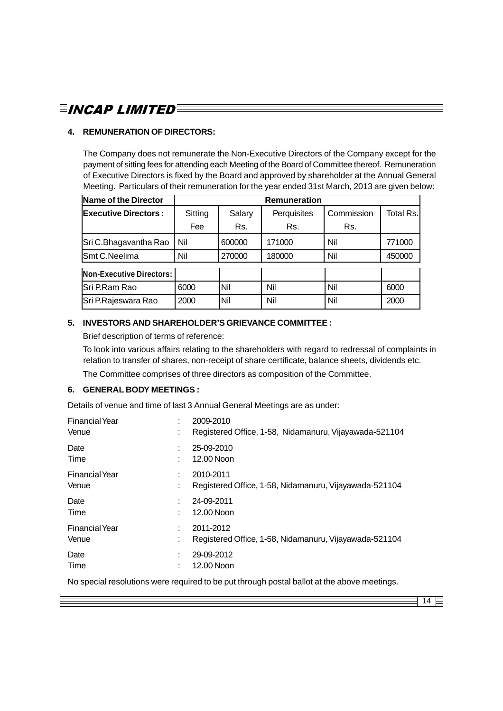### $\bar{E}$ incap limited $\bar{\bar{E}}$

### **4. REMUNERATION OF DIRECTORS:**

The Company does not remunerate the Non-Executive Directors of the Company except for the payment of sitting fees for attending each Meeting of the Board of Committee thereof. Remuneration of Executive Directors is fixed by the Board and approved by shareholder at the Annual General Meeting. Particulars of their remuneration for the year ended 31st March, 2013 are given below:

| Name of the Director        | Remuneration |        |             |            |           |
|-----------------------------|--------------|--------|-------------|------------|-----------|
| <b>Executive Directors:</b> | Sitting      | Salary | Perquisites | Commission | Total Rs. |
|                             | Fee          | Rs.    | Rs.         | Rs.        |           |
| Sri C.Bhagavantha Rao       | Nil          | 600000 | 171000      | Nil        | 771000    |
| <b>Smt C.Neelima</b>        | Nil          | 270000 | 180000      | Nil        | 450000    |
| Non-Executive Directors:    |              |        |             |            |           |
| lSri P.Ram Rao              | 6000         | Nil    | Nil         | Nil        | 6000      |
| Sri P.Rajeswara Rao         | 2000         | Nil    | Nil         | Nil        | 2000      |

### **5. INVESTORS AND SHAREHOLDER'S GRIEVANCE COMMITTEE :**

Brief description of terms of reference:

To look into various affairs relating to the shareholders with regard to redressal of complaints in relation to transfer of shares, non-receipt of share certificate, balance sheets, dividends etc. The Committee comprises of three directors as composition of the Committee.

### **6. GENERAL BODY MEETINGS :**

Details of venue and time of last 3 Annual General Meetings are as under:

| <b>Financial Year</b><br>Venue                                                              |  | 2009-2010<br>Registered Office, 1-58, Nidamanuru, Vijayawada-521104 |  |  |
|---------------------------------------------------------------------------------------------|--|---------------------------------------------------------------------|--|--|
| Date<br>Time                                                                                |  | 25-09-2010<br>12.00 Noon                                            |  |  |
| <b>Financial Year</b><br>Venue                                                              |  | 2010-2011<br>Registered Office, 1-58, Nidamanuru, Vijayawada-521104 |  |  |
| Date<br>Time                                                                                |  | 24-09-2011<br>12.00 Noon                                            |  |  |
| <b>Financial Year</b><br>Venue                                                              |  | 2011-2012<br>Registered Office, 1-58, Nidamanuru, Vijayawada-521104 |  |  |
| Date<br>Time                                                                                |  | 29-09-2012<br>12.00 Noon                                            |  |  |
| No special resolutions were required to be put through postal ballot at the above meetings. |  |                                                                     |  |  |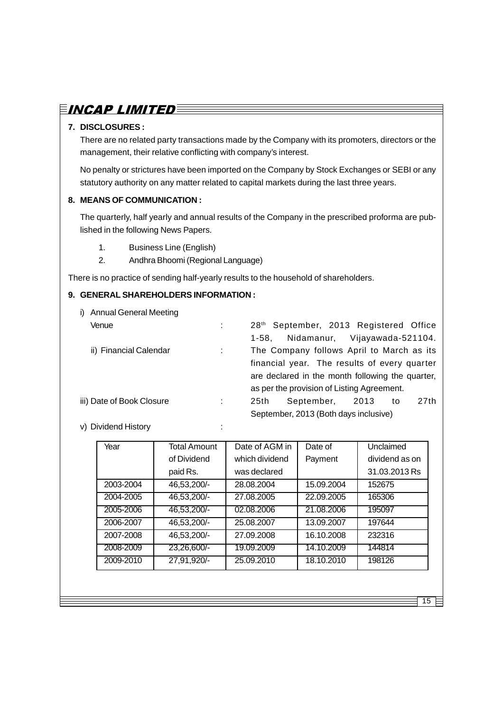### $\bar{=}$ incap limited $\bar{\bar{}}$

### **7. DISCLOSURES :**

There are no related party transactions made by the Company with its promoters, directors or the management, their relative conflicting with company's interest.

No penalty or strictures have been imported on the Company by Stock Exchanges or SEBI or any statutory authority on any matter related to capital markets during the last three years.

### **8. MEANS OF COMMUNICATION :**

The quarterly, half yearly and annual results of the Company in the prescribed proforma are published in the following News Papers.

- 1. Business Line (English)
- 2. Andhra Bhoomi (Regional Language)

There is no practice of sending half-yearly results to the household of shareholders.

### **9. GENERAL SHAREHOLDERS INFORMATION :**

i) Annual General Meeting

| Venue                     |   | 28th September, 2013 Registered Office           |
|---------------------------|---|--------------------------------------------------|
|                           |   | Nidamanur, Vijayawada-521104.<br>1-58.           |
| ii) Financial Calendar    | ÷ | The Company follows April to March as its        |
|                           |   | financial year. The results of every quarter     |
|                           |   | are declared in the month following the quarter, |
|                           |   | as per the provision of Listing Agreement.       |
| iii) Date of Book Closure | ÷ | 27th<br>September,<br>2013<br>25th<br>to         |
|                           |   | September, 2013 (Both days inclusive)            |

v) Dividend History : the state of the state of the state of the state of the state of the state of the state of the state of the state of the state of the state of the state of the state of the state of the state of the s

| Year      | <b>Total Amount</b> | Date of AGM in | Date of    | Unclaimed      |
|-----------|---------------------|----------------|------------|----------------|
|           | of Dividend         | which dividend | Payment    | dividend as on |
|           | paid Rs.            | was declared   |            | 31.03.2013 Rs  |
| 2003-2004 | 46,53,200/-         | 28.08.2004     | 15.09.2004 | 152675         |
| 2004-2005 | 46,53,200/-         | 27.08.2005     | 22.09.2005 | 165306         |
| 2005-2006 | 46,53,200/-         | 02.08.2006     | 21.08.2006 | 195097         |
| 2006-2007 | 46,53,200/-         | 25.08.2007     | 13.09.2007 | 197644         |
| 2007-2008 | 46,53,200/-         | 27.09.2008     | 16.10.2008 | 232316         |
| 2008-2009 | 23,26,600/-         | 19.09.2009     | 14.10.2009 | 144814         |
| 2009-2010 | 27,91,920/-         | 25.09.2010     | 18.10.2010 | 198126         |
|           |                     |                |            |                |

15  $\overline{E}$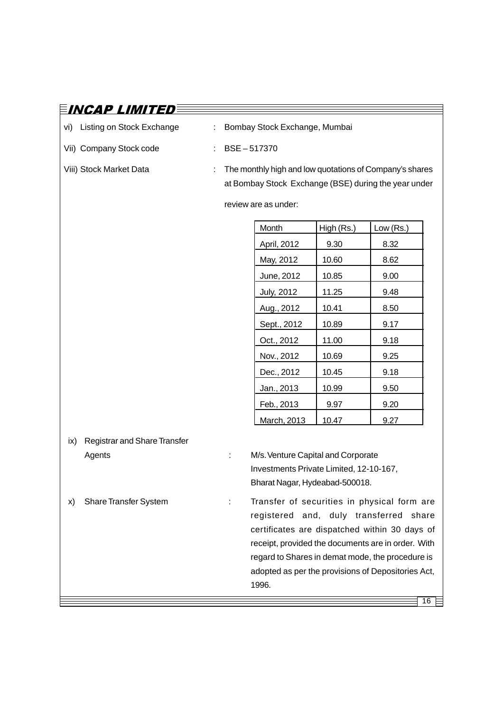- 
- Vii) Company Stock code : BSE 517370
- 
- vi) Listing on Stock Exchange : Bombay Stock Exchange, Mumbai
	-
- Viii) Stock Market Data : The monthly high and low quotations of Company's shares at Bombay Stock Exchange (BSE) during the year under

review are as under:

| Month             | High (Rs.) | Low (Rs.) |
|-------------------|------------|-----------|
| April, 2012       | 9.30       | 8.32      |
| May, 2012         | 10.60      | 8.62      |
| June, 2012        | 10.85      | 9.00      |
| <b>July, 2012</b> | 11.25      | 9.48      |
| Aug., 2012        | 10.41      | 8.50      |
| Sept., 2012       | 10.89      | 9.17      |
| Oct., 2012        | 11.00      | 9.18      |
| Nov., 2012        | 10.69      | 9.25      |
| Dec., 2012        | 10.45      | 9.18      |
| Jan., 2013        | 10.99      | 9.50      |
| Feb., 2013        | 9.97       | 9.20      |
| March, 2013       | 10.47      | 9.27      |

ix) Registrar and Share Transfer Agents **Agents** : M/s. Venture Capital and Corporate Investments Private Limited, 12-10-167, Bharat Nagar, Hydeabad-500018. x) Share Transfer System : Transfer of securities in physical form are registered and, duly transferred share certificates are dispatched within 30 days of receipt, provided the documents are in order. With regard to Shares in demat mode, the procedure is adopted as per the provisions of Depositories Act, 1996. March, 2013 | 10.47 | 9.27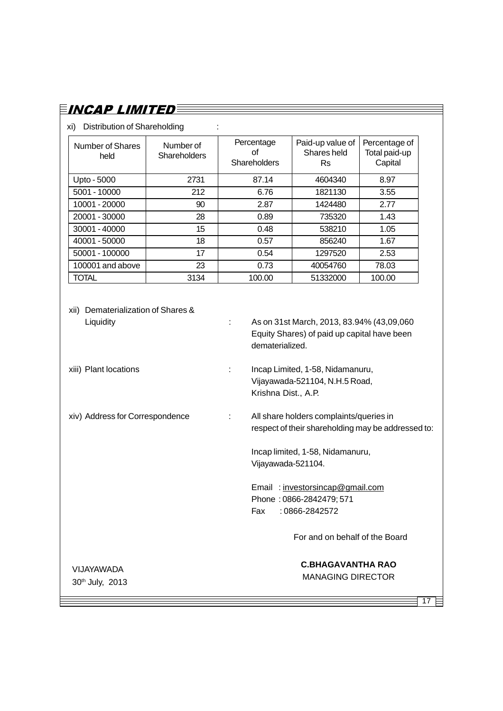| <i>INCAP LIMITED</i>            |                                  |                                         |                                                                                                                                                                                            |                                           |  |
|---------------------------------|----------------------------------|-----------------------------------------|--------------------------------------------------------------------------------------------------------------------------------------------------------------------------------------------|-------------------------------------------|--|
| Distribution of Shareholding    |                                  |                                         |                                                                                                                                                                                            |                                           |  |
| xi)<br>Number of Shares<br>held | Number of<br><b>Shareholders</b> | Percentage<br><b>of</b><br>Shareholders | Paid-up value of<br>Shares held<br><b>Rs</b>                                                                                                                                               | Percentage of<br>Total paid-up<br>Capital |  |
| Upto - 5000                     | 2731                             | 87.14                                   | 4604340                                                                                                                                                                                    | 8.97                                      |  |
| 5001 - 10000                    | 212                              | 6.76                                    | 1821130                                                                                                                                                                                    | 3.55                                      |  |
| 10001 - 20000                   | 90                               | 2.87                                    | 1424480                                                                                                                                                                                    | 2.77                                      |  |
| 20001 - 30000                   | 28                               | 0.89                                    | 735320                                                                                                                                                                                     | 1.43                                      |  |
| 30001 - 40000                   | 15                               | 0.48                                    | 538210                                                                                                                                                                                     | 1.05                                      |  |
| 40001 - 50000                   | 18                               | 0.57                                    | 856240                                                                                                                                                                                     | 1.67                                      |  |
| 50001 - 100000                  | 17                               | 0.54                                    | 1297520                                                                                                                                                                                    | 2.53                                      |  |
| 100001 and above                | 23                               | 0.73                                    | 40054760                                                                                                                                                                                   | 78.03                                     |  |
| <b>TOTAL</b>                    | 3134                             | 100.00                                  | 51332000                                                                                                                                                                                   | 100.00                                    |  |
| xiii) Plant locations           |                                  |                                         | Incap Limited, 1-58, Nidamanuru,<br>Vijayawada-521104, N.H.5 Road,<br>Krishna Dist., A.P.                                                                                                  |                                           |  |
| xiv) Address for Correspondence |                                  | ÷                                       | All share holders complaints/queries in<br>respect of their shareholding may be addressed to:<br>Incap limited, 1-58, Nidamanuru,<br>Vijayawada-521104.<br>Email: investorsincap@gmail.com |                                           |  |
|                                 |                                  | Fax                                     | Phone: 0866-2842479; 571<br>: 0866-2842572<br>For and on behalf of the Board<br><b>C.BHAGAVANTHA RAO</b>                                                                                   |                                           |  |
| VIJAYAWADA<br>30th July, 2013   |                                  |                                         | <b>MANAGING DIRECTOR</b>                                                                                                                                                                   | 17                                        |  |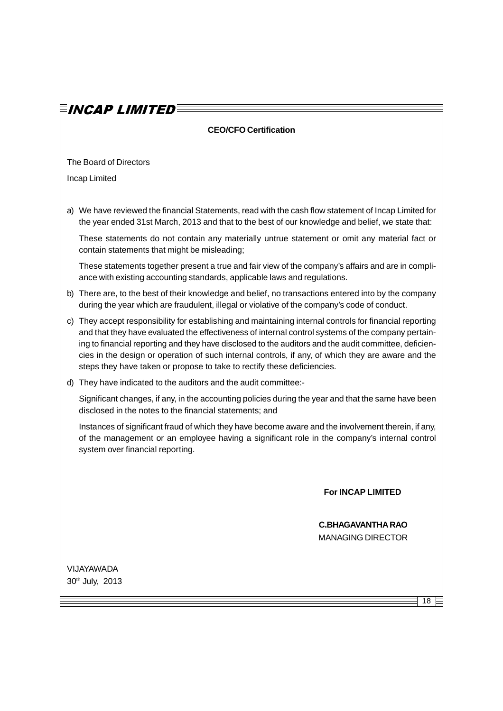| <i><b>INCAP LIMITED</b></i>                                                                                                                                                                                                                                                                                                                                                                                                                                                                              |
|----------------------------------------------------------------------------------------------------------------------------------------------------------------------------------------------------------------------------------------------------------------------------------------------------------------------------------------------------------------------------------------------------------------------------------------------------------------------------------------------------------|
| <b>CEO/CFO Certification</b>                                                                                                                                                                                                                                                                                                                                                                                                                                                                             |
| The Board of Directors                                                                                                                                                                                                                                                                                                                                                                                                                                                                                   |
| <b>Incap Limited</b>                                                                                                                                                                                                                                                                                                                                                                                                                                                                                     |
| a) We have reviewed the financial Statements, read with the cash flow statement of Incap Limited for<br>the year ended 31st March, 2013 and that to the best of our knowledge and belief, we state that:                                                                                                                                                                                                                                                                                                 |
| These statements do not contain any materially untrue statement or omit any material fact or<br>contain statements that might be misleading;                                                                                                                                                                                                                                                                                                                                                             |
| These statements together present a true and fair view of the company's affairs and are in compli-<br>ance with existing accounting standards, applicable laws and regulations.                                                                                                                                                                                                                                                                                                                          |
| b) There are, to the best of their knowledge and belief, no transactions entered into by the company<br>during the year which are fraudulent, illegal or violative of the company's code of conduct.                                                                                                                                                                                                                                                                                                     |
| c) They accept responsibility for establishing and maintaining internal controls for financial reporting<br>and that they have evaluated the effectiveness of internal control systems of the company pertain-<br>ing to financial reporting and they have disclosed to the auditors and the audit committee, deficien-<br>cies in the design or operation of such internal controls, if any, of which they are aware and the<br>steps they have taken or propose to take to rectify these deficiencies. |
| d) They have indicated to the auditors and the audit committee:-                                                                                                                                                                                                                                                                                                                                                                                                                                         |
| Significant changes, if any, in the accounting policies during the year and that the same have been<br>disclosed in the notes to the financial statements; and                                                                                                                                                                                                                                                                                                                                           |
| Instances of significant fraud of which they have become aware and the involvement therein, if any,<br>of the management or an employee having a significant role in the company's internal control<br>system over financial reporting.                                                                                                                                                                                                                                                                  |
| <b>For INCAP LIMITED</b>                                                                                                                                                                                                                                                                                                                                                                                                                                                                                 |
| C. BHAGAVANTHA RAO                                                                                                                                                                                                                                                                                                                                                                                                                                                                                       |
| MANAGING DIRECTOR                                                                                                                                                                                                                                                                                                                                                                                                                                                                                        |
| VIJAYAWADA                                                                                                                                                                                                                                                                                                                                                                                                                                                                                               |
| 30th July, 2013                                                                                                                                                                                                                                                                                                                                                                                                                                                                                          |
| 18 E                                                                                                                                                                                                                                                                                                                                                                                                                                                                                                     |
|                                                                                                                                                                                                                                                                                                                                                                                                                                                                                                          |

 $\equiv$  18  $\equiv$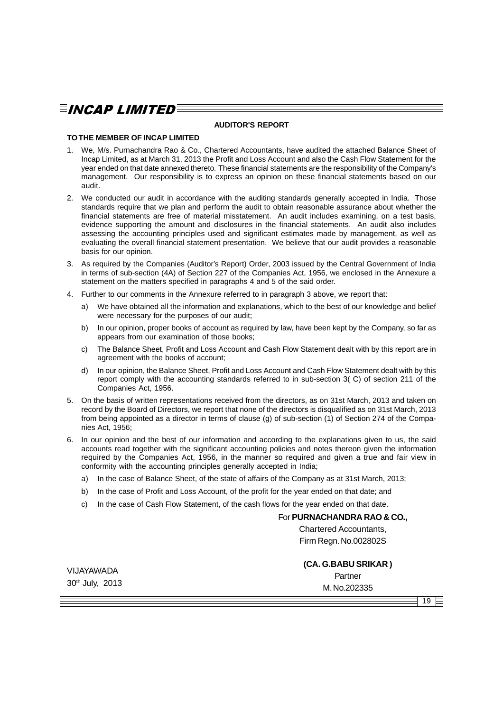#### **AUDITOR'S REPORT**

#### **TO THE MEMBER OF INCAP LIMITED**

- 1. We, M/s. Purnachandra Rao & Co., Chartered Accountants, have audited the attached Balance Sheet of Incap Limited, as at March 31, 2013 the Profit and Loss Account and also the Cash Flow Statement for the year ended on that date annexed thereto. These financial statements are the responsibility of the Company's management. Our responsibility is to express an opinion on these financial statements based on our audit.
- 2. We conducted our audit in accordance with the auditing standards generally accepted in India. Those standards require that we plan and perform the audit to obtain reasonable assurance about whether the financial statements are free of material misstatement. An audit includes examining, on a test basis, evidence supporting the amount and disclosures in the financial statements. An audit also includes assessing the accounting principles used and significant estimates made by management, as well as evaluating the overall financial statement presentation. We believe that our audit provides a reasonable basis for our opinion.
- 3. As required by the Companies (Auditor's Report) Order, 2003 issued by the Central Government of India in terms of sub-section (4A) of Section 227 of the Companies Act, 1956, we enclosed in the Annexure a statement on the matters specified in paragraphs 4 and 5 of the said order.
- 4. Further to our comments in the Annexure referred to in paragraph 3 above, we report that:
	- a) We have obtained all the information and explanations, which to the best of our knowledge and belief were necessary for the purposes of our audit;
	- b) In our opinion, proper books of account as required by law, have been kept by the Company, so far as appears from our examination of those books;
	- c) The Balance Sheet, Profit and Loss Account and Cash Flow Statement dealt with by this report are in agreement with the books of account;
	- d) In our opinion, the Balance Sheet, Profit and Loss Account and Cash Flow Statement dealt with by this report comply with the accounting standards referred to in sub-section 3( C) of section 211 of the Companies Act, 1956.
- 5. On the basis of written representations received from the directors, as on 31st March, 2013 and taken on record by the Board of Directors, we report that none of the directors is disqualified as on 31st March, 2013 from being appointed as a director in terms of clause (g) of sub-section (1) of Section 274 of the Companies Act, 1956;
- 6. In our opinion and the best of our information and according to the explanations given to us, the said accounts read together with the significant accounting policies and notes thereon given the information required by the Companies Act, 1956, in the manner so required and given a true and fair view in conformity with the accounting principles generally accepted in India;
	- a) In the case of Balance Sheet, of the state of affairs of the Company as at 31st March, 2013;
	- b) In the case of Profit and Loss Account, of the profit for the year ended on that date; and
	- c) In the case of Cash Flow Statement, of the cash flows for the year ended on that date.

For **PURNACHANDRA RAO & CO.,**

Chartered Accountants, Firm Regn. No.002802S

VIJAYAWADA 30th July, 2013 **(CA. G.BABU SRIKAR )**

**Partner** M. No.202335

19 E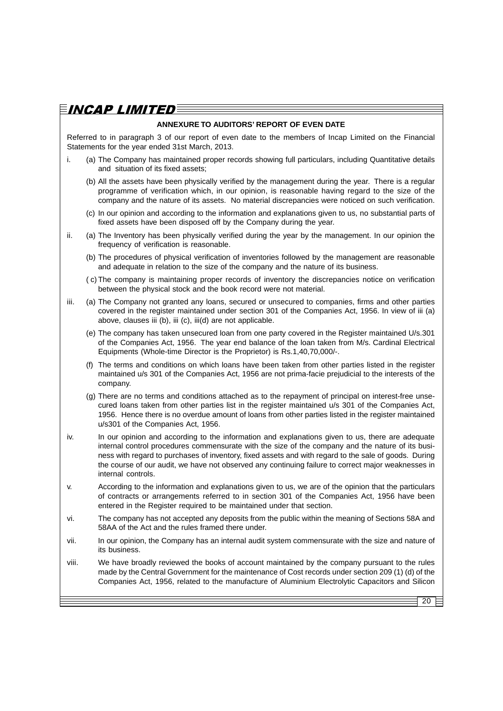#### **ANNEXURE TO AUDITORS' REPORT OF EVEN DATE**

Referred to in paragraph 3 of our report of even date to the members of Incap Limited on the Financial Statements for the year ended 31st March, 2013.

- i. (a) The Company has maintained proper records showing full particulars, including Quantitative details and situation of its fixed assets;
	- (b) All the assets have been physically verified by the management during the year. There is a regular programme of verification which, in our opinion, is reasonable having regard to the size of the company and the nature of its assets. No material discrepancies were noticed on such verification.
	- (c) In our opinion and according to the information and explanations given to us, no substantial parts of fixed assets have been disposed off by the Company during the year.
- ii. (a) The Inventory has been physically verified during the year by the management. In our opinion the frequency of verification is reasonable.
	- (b) The procedures of physical verification of inventories followed by the management are reasonable and adequate in relation to the size of the company and the nature of its business.
	- ( c) The company is maintaining proper records of inventory the discrepancies notice on verification between the physical stock and the book record were not material.
- iii. (a) The Company not granted any loans, secured or unsecured to companies, firms and other parties covered in the register maintained under section 301 of the Companies Act, 1956. In view of iii (a) above, clauses iii (b), iii (c), iii(d) are not applicable.
	- (e) The company has taken unsecured loan from one party covered in the Register maintained U/s.301 of the Companies Act, 1956. The year end balance of the loan taken from M/s. Cardinal Electrical Equipments (Whole-time Director is the Proprietor) is Rs.1,40,70,000/-.
	- (f) The terms and conditions on which loans have been taken from other parties listed in the register maintained u/s 301 of the Companies Act, 1956 are not prima-facie prejudicial to the interests of the company.
	- (g) There are no terms and conditions attached as to the repayment of principal on interest-free unsecured loans taken from other parties list in the register maintained u/s 301 of the Companies Act, 1956. Hence there is no overdue amount of loans from other parties listed in the register maintained u/s301 of the Companies Act, 1956.
- iv. In our opinion and according to the information and explanations given to us, there are adequate internal control procedures commensurate with the size of the company and the nature of its business with regard to purchases of inventory, fixed assets and with regard to the sale of goods. During the course of our audit, we have not observed any continuing failure to correct major weaknesses in internal controls.
- v. According to the information and explanations given to us, we are of the opinion that the particulars of contracts or arrangements referred to in section 301 of the Companies Act, 1956 have been entered in the Register required to be maintained under that section.
- vi. The company has not accepted any deposits from the public within the meaning of Sections 58A and 58AA of the Act and the rules framed there under.
- vii. In our opinion, the Company has an internal audit system commensurate with the size and nature of its business.
- viii. We have broadly reviewed the books of account maintained by the company pursuant to the rules made by the Central Government for the maintenance of Cost records under section 209 (1) (d) of the Companies Act, 1956, related to the manufacture of Aluminium Electrolytic Capacitors and Silicon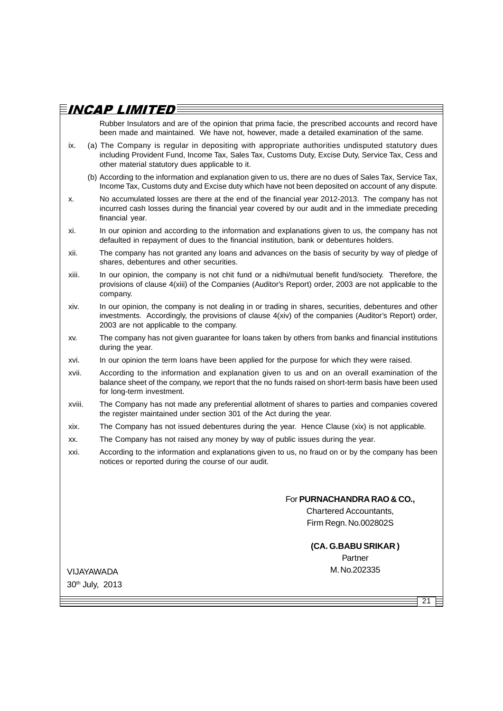Rubber Insulators and are of the opinion that prima facie, the prescribed accounts and record have been made and maintained. We have not, however, made a detailed examination of the same.

- ix. (a) The Company is regular in depositing with appropriate authorities undisputed statutory dues including Provident Fund, Income Tax, Sales Tax, Customs Duty, Excise Duty, Service Tax, Cess and other material statutory dues applicable to it.
	- (b) According to the information and explanation given to us, there are no dues of Sales Tax, Service Tax, Income Tax, Customs duty and Excise duty which have not been deposited on account of any dispute.
- x. No accumulated losses are there at the end of the financial year 2012-2013. The company has not incurred cash losses during the financial year covered by our audit and in the immediate preceding financial year.
- xi. In our opinion and according to the information and explanations given to us, the company has not defaulted in repayment of dues to the financial institution, bank or debentures holders.
- xii. The company has not granted any loans and advances on the basis of security by way of pledge of shares, debentures and other securities.
- xiii. In our opinion, the company is not chit fund or a nidhi/mutual benefit fund/society. Therefore, the provisions of clause 4(xiii) of the Companies (Auditor's Report) order, 2003 are not applicable to the company.
- xiv. In our opinion, the company is not dealing in or trading in shares, securities, debentures and other investments. Accordingly, the provisions of clause 4(xiv) of the companies (Auditor's Report) order, 2003 are not applicable to the company.
- xv. The company has not given guarantee for loans taken by others from banks and financial institutions during the year.
- xvi. In our opinion the term loans have been applied for the purpose for which they were raised.
- xvii. According to the information and explanation given to us and on an overall examination of the balance sheet of the company, we report that the no funds raised on short-term basis have been used for long-term investment.
- xviii. The Company has not made any preferential allotment of shares to parties and companies covered the register maintained under section 301 of the Act during the year.
- xix. The Company has not issued debentures during the year. Hence Clause (xix) is not applicable.
- xx. The Company has not raised any money by way of public issues during the year.
- xxi. According to the information and explanations given to us, no fraud on or by the company has been notices or reported during the course of our audit.

#### For **PURNACHANDRA RAO & CO.,**

Chartered Accountants, Firm Regn. No.002802S

#### **(CA. G.BABU SRIKAR )**

Partner M. No.202335

21

VIJAYAWADA 30th July, 2013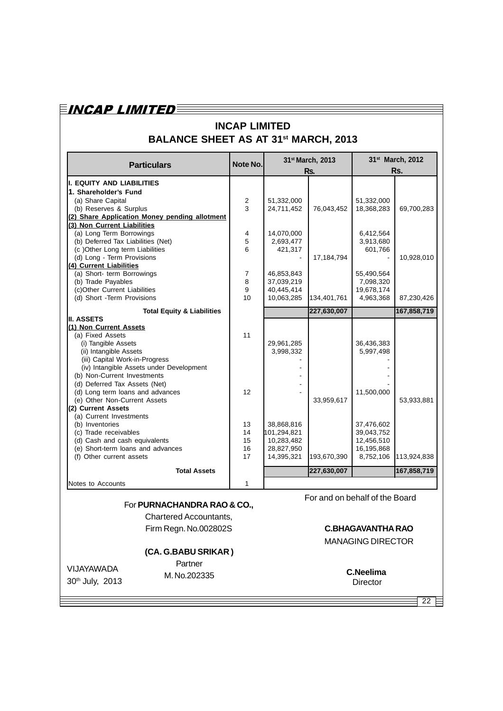### **INCAP LIMITED BALANCE SHEET AS AT 31st MARCH, 2013**

| <b>Particulars</b>                            | Note No.       | 31 <sup>st</sup> March, 2013 |             |            | 31 <sup>st</sup> March, 2012 |
|-----------------------------------------------|----------------|------------------------------|-------------|------------|------------------------------|
|                                               |                |                              | Rs.         |            | Rs.                          |
| II. EQUITY AND LIABILITIES                    |                |                              |             |            |                              |
| 1. Shareholder's Fund                         |                |                              |             |            |                              |
| (a) Share Capital                             | $\overline{2}$ | 51,332,000                   |             | 51,332,000 |                              |
| (b) Reserves & Surplus                        | 3              | 24,711,452                   | 76,043,452  | 18,368,283 | 69,700,283                   |
| (2) Share Application Money pending allotment |                |                              |             |            |                              |
| (3) Non Current Liabilities                   |                |                              |             |            |                              |
| (a) Long Term Borrowings                      | 4              | 14,070,000                   |             | 6,412,564  |                              |
| (b) Deferred Tax Liabilities (Net)            | 5              | 2,693,477                    |             | 3,913,680  |                              |
| (c) Other Long term Liabilities               | 6              | 421,317                      |             | 601,766    |                              |
| (d) Long - Term Provisions                    |                |                              | 17,184,794  |            | 10,928,010                   |
| (4) Current Liabilities                       |                |                              |             |            |                              |
| (a) Short- term Borrowings                    | 7              | 46,853,843                   |             | 55,490,564 |                              |
| (b) Trade Payables                            | 8              | 37,039,219                   |             | 7,098,320  |                              |
| (c)Other Current Liabilities                  | 9              | 40,445,414                   |             | 19,678,174 |                              |
| (d) Short - Term Provisions                   | 10             | 10,063,285                   | 134,401,761 | 4,963,368  | 87,230,426                   |
| <b>Total Equity &amp; Liabilities</b>         |                |                              | 227,630,007 |            | 167,858,719                  |
| III. ASSETS                                   |                |                              |             |            |                              |
| (1) Non Current Assets                        |                |                              |             |            |                              |
| (a) Fixed Assets                              | 11             |                              |             |            |                              |
| (i) Tangible Assets                           |                | 29,961,285                   |             | 36,436,383 |                              |
| (ii) Intangible Assets                        |                | 3,998,332                    |             | 5,997,498  |                              |
| (iii) Capital Work-in-Progress                |                |                              |             |            |                              |
| (iv) Intangible Assets under Development      |                |                              |             |            |                              |
| (b) Non-Current Investments                   |                |                              |             |            |                              |
| (d) Deferred Tax Assets (Net)                 |                |                              |             |            |                              |
| (d) Long term loans and advances              | 12             |                              |             | 11,500,000 |                              |
| (e) Other Non-Current Assets                  |                |                              | 33,959,617  |            | 53,933,881                   |
| (2) Current Assets                            |                |                              |             |            |                              |
| (a) Current Investments                       |                |                              |             |            |                              |
| (b) Inventories                               | 13             | 38,868,816                   |             | 37,476,602 |                              |
| (c) Trade receivables                         | 14             | 101,294,821                  |             | 39,043,752 |                              |
| (d) Cash and cash equivalents                 | 15             | 10,283,482                   |             | 12,456,510 |                              |
| (e) Short-term loans and advances             | 16             | 28,827,950                   |             | 16,195,868 |                              |
| (f) Other current assets                      | 17             | 14,395,321                   | 193,670,390 | 8,752,106  | 113,924,838                  |
| <b>Total Assets</b>                           |                |                              | 227,630,007 |            | 167,858,719                  |
| Notes to Accounts                             | 1              |                              |             |            |                              |

#### For **PURNACHANDRA RAO & CO.,**

Chartered Accountants, Firm Regn. No.002802S

#### **(CA. G.BABU SRIKAR )**

VIJAYAWADA 30th July, 2013

EINCAP LIMITEDE

Partner M. No.202335 For and on behalf of the Board

**C.BHAGAVANTHA RAO** MANAGING DIRECTOR

**C.Neelima** Director

 $\overline{22}$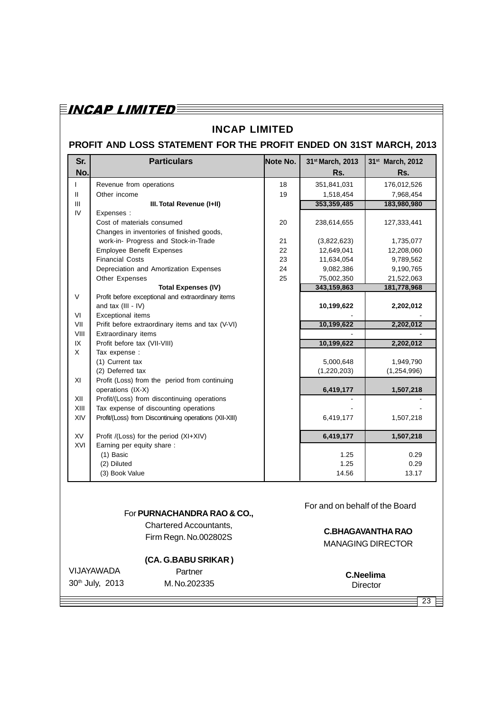### $\bar{\bm{\Xi}}$ incap limited $\bar{\bm{\Xi}}$

### **INCAP LIMITED**

### **PROFIT AND LOSS STATEMENT FOR THE PROFIT ENDED ON 31ST MARCH, 2013**

| Sr.          | <b>Particulars</b>                                     | Note No. | 31st March, 2013 | 31st March, 2012 |
|--------------|--------------------------------------------------------|----------|------------------|------------------|
| No.          |                                                        |          | Rs.              | Rs.              |
| $\mathbf{I}$ | Revenue from operations                                | 18       | 351,841,031      | 176,012,526      |
| $\mathbf{H}$ | Other income                                           | 19       | 1,518,454        | 7,968,454        |
| III          | III. Total Revenue (I+II)                              |          | 353,359,485      | 183,980,980      |
| IV           | Expenses :                                             |          |                  |                  |
|              | Cost of materials consumed                             | 20       | 238,614,655      | 127,333,441      |
|              | Changes in inventories of finished goods,              |          |                  |                  |
|              | work-in- Progress and Stock-in-Trade                   | 21       | (3,822,623)      | 1,735,077        |
|              | <b>Employee Benefit Expenses</b>                       | 22       | 12,649,041       | 12,208,060       |
|              | <b>Financial Costs</b>                                 | 23       | 11,634,054       | 9,789,562        |
|              | Depreciation and Amortization Expenses                 | 24       | 9,082,386        | 9,190,765        |
|              | Other Expenses                                         | 25       | 75,002,350       | 21,522,063       |
|              | <b>Total Expenses (IV)</b>                             |          | 343,159,863      | 181,778,968      |
| $\vee$       | Profit before exceptional and extraordinary items      |          |                  |                  |
|              | and tax $(III - IV)$                                   |          | 10,199,622       | 2,202,012        |
| VI           | <b>Exceptional items</b>                               |          |                  |                  |
| VII          | Prifit before extraordinary items and tax (V-VI)       |          | 10,199,622       | 2,202,012        |
| VIII         | Extraordinary items                                    |          |                  |                  |
| IX           | Profit before tax (VII-VIII)                           |          | 10,199,622       | 2,202,012        |
| X            | Tax expense :                                          |          |                  |                  |
|              | (1) Current tax                                        |          | 5,000,648        | 1,949,790        |
|              | (2) Deferred tax                                       |          | (1,220,203)      | (1,254,996)      |
| XI           | Profit (Loss) from the period from continuing          |          |                  |                  |
|              | operations (IX-X)                                      |          | 6,419,177        | 1,507,218        |
| XII          | Profit/(Loss) from discontinuing operations            |          |                  |                  |
| XIII         | Tax expense of discounting operations                  |          |                  |                  |
| XIV          | Profit/(Loss) from Discontinuing operations (XII-XIII) |          | 6,419,177        | 1,507,218        |
| XV           | Profit /(Loss) for the period (XI+XIV)                 |          | 6,419,177        | 1,507,218        |
| XVI          | Earning per equity share:                              |          |                  |                  |
|              | $(1)$ Basic                                            |          | 1.25             | 0.29             |
|              | (2) Diluted                                            |          | 1.25             | 0.29             |
|              | (3) Book Value                                         |          | 14.56            | 13.17            |

### For **PURNACHANDRA RAO & CO.,**

Chartered Accountants, Firm Regn. No.002802S

**C.BHAGAVANTHA RAO** MANAGING DIRECTOR

For and on behalf of the Board

**C.Neelima** Director

VIJAYAWADA 30th July, 2013 **(CA. G.BABU SRIKAR )** Partner M. No.202335

 $\overline{23}$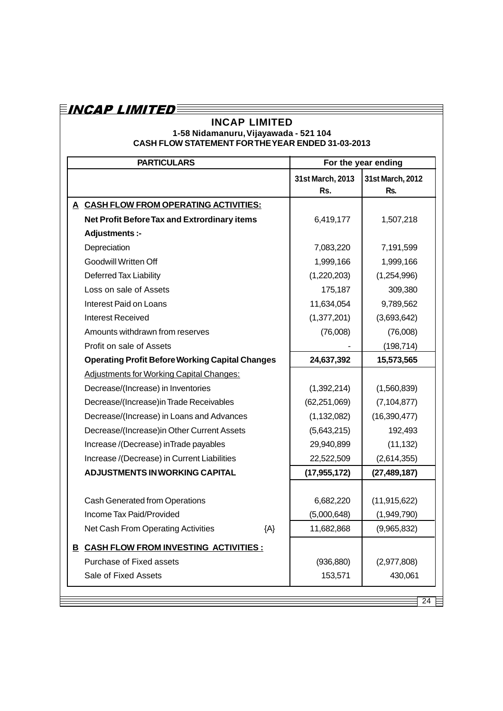### $E$ INCAP LIMITED $\equiv$

#### **INCAP LIMITED 1-58 Nidamanuru, Vijayawada - 521 104 CASH FLOW STATEMENT FOR THE YEAR ENDED 31-03-2013**

| <b>PARTICULARS</b>                                     | For the year ending     |                         |  |
|--------------------------------------------------------|-------------------------|-------------------------|--|
|                                                        | 31st March, 2013<br>Rs. | 31st March, 2012<br>Rs. |  |
| A CASH FLOW FROM OPERATING ACTIVITIES:                 |                         |                         |  |
| Net Profit Before Tax and Extrordinary items           | 6,419,177               | 1,507,218               |  |
| Adjustments :-                                         |                         |                         |  |
| Depreciation                                           | 7,083,220               | 7,191,599               |  |
| Goodwill Written Off                                   | 1,999,166               | 1,999,166               |  |
| Deferred Tax Liability                                 | (1,220,203)             | (1,254,996)             |  |
| Loss on sale of Assets                                 | 175,187                 | 309,380                 |  |
| Interest Paid on Loans                                 | 11,634,054              | 9,789,562               |  |
| Interest Received                                      | (1,377,201)             | (3,693,642)             |  |
| Amounts withdrawn from reserves                        | (76,008)                | (76,008)                |  |
| Profit on sale of Assets                               |                         | (198, 714)              |  |
| <b>Operating Profit Before Working Capital Changes</b> | 24,637,392              | 15,573,565              |  |
| <b>Adjustments for Working Capital Changes:</b>        |                         |                         |  |
| Decrease/(Increase) in Inventories                     | (1,392,214)             | (1,560,839)             |  |
| Decrease/(Increase) in Trade Receivables               | (62, 251, 069)          | (7, 104, 877)           |  |
| Decrease/(Increase) in Loans and Advances              | (1, 132, 082)           | (16, 390, 477)          |  |
| Decrease/(Increase)in Other Current Assets             | (5,643,215)             | 192,493                 |  |
| Increase /(Decrease) in Trade payables                 | 29,940,899              | (11, 132)               |  |
| Increase /(Decrease) in Current Liabilities            | 22,522,509              | (2,614,355)             |  |
| <b>ADJUSTMENTS IN WORKING CAPITAL</b>                  | (17, 955, 172)          | (27, 489, 187)          |  |
|                                                        |                         |                         |  |
| Cash Generated from Operations                         | 6,682,220               | (11, 915, 622)          |  |
| Income Tax Paid/Provided                               | (5,000,648)             | (1,949,790)             |  |
| Net Cash From Operating Activities<br>${A}$            | 11,682,868              | (9,965,832)             |  |
| <b>B CASH FLOW FROM INVESTING ACTIVITIES:</b>          |                         |                         |  |
| Purchase of Fixed assets                               | (936, 880)              | (2,977,808)             |  |
| Sale of Fixed Assets                                   | 153,571                 | 430,061                 |  |

 $\equiv$  24  $\equiv$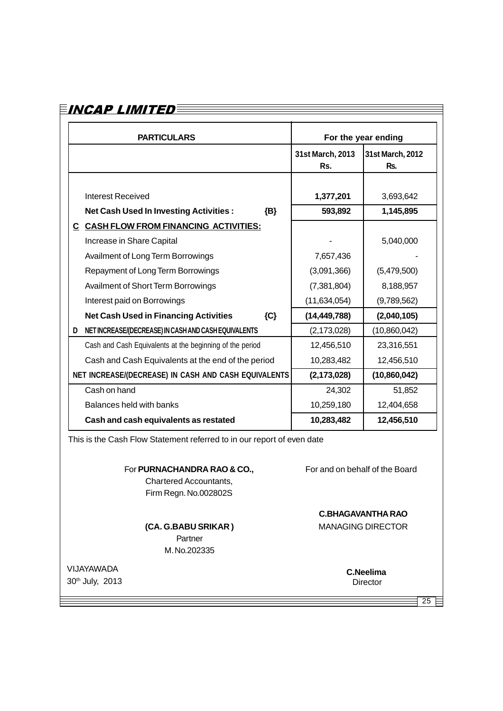|                                | <b>PARTICULARS</b>                                                             |         |                         | For the year ending                                  |
|--------------------------------|--------------------------------------------------------------------------------|---------|-------------------------|------------------------------------------------------|
|                                |                                                                                |         | 31st March, 2013<br>Rs. | 31st March, 2012<br>Rs.                              |
|                                | <b>Interest Received</b>                                                       |         | 1,377,201               | 3,693,642                                            |
|                                | <b>Net Cash Used In Investing Activities:</b>                                  | $\{B\}$ | 593,892                 | 1,145,895                                            |
|                                | C CASH FLOW FROM FINANCING ACTIVITIES:                                         |         |                         |                                                      |
|                                | Increase in Share Capital                                                      |         |                         | 5,040,000                                            |
|                                | Availment of Long Term Borrowings                                              |         | 7,657,436               |                                                      |
|                                | Repayment of Long Term Borrowings                                              |         | (3,091,366)             | (5,479,500)                                          |
|                                | <b>Availment of Short Term Borrowings</b>                                      |         | (7, 381, 804)           | 8,188,957                                            |
|                                | Interest paid on Borrowings                                                    |         | (11, 634, 054)          | (9,789,562)                                          |
|                                | <b>Net Cash Used in Financing Activities</b>                                   | ${C}$   | (14, 449, 788)          | (2,040,105)                                          |
| D                              | NET INCREASE/(DECREASE) IN CASH AND CASH EQUIVALENTS                           |         | (2, 173, 028)           | (10,860,042)                                         |
|                                | Cash and Cash Equivalents at the beginning of the period                       |         | 12,456,510              | 23,316,551                                           |
|                                | Cash and Cash Equivalents at the end of the period                             |         | 10,283,482              | 12,456,510                                           |
|                                | NET INCREASE/(DECREASE) IN CASH AND CASH EQUIVALENTS                           |         | (2, 173, 028)           | (10,860,042)                                         |
|                                | Cash on hand                                                                   |         | 24,302                  | 51,852                                               |
|                                | Balances held with banks                                                       |         | 10,259,180              | 12,404,658                                           |
|                                | Cash and cash equivalents as restated                                          |         | 10,283,482              | 12,456,510                                           |
|                                | This is the Cash Flow Statement referred to in our report of even date         |         |                         |                                                      |
|                                | For PURNACHANDRA RAO & CO.,<br>Chartered Accountants,<br>Firm Regn. No.002802S |         |                         | For and on behalf of the Board                       |
|                                |                                                                                |         |                         | <b>C.BHAGAVANTHA RAO</b><br><b>MANAGING DIRECTOR</b> |
|                                | (CA. G.BABU SRIKAR)<br>Partner<br>M. No.202335                                 |         |                         |                                                      |
| VIJAYAWADA<br><b>C.Neelima</b> |                                                                                |         |                         |                                                      |
|                                | 30th July, 2013                                                                |         |                         |                                                      |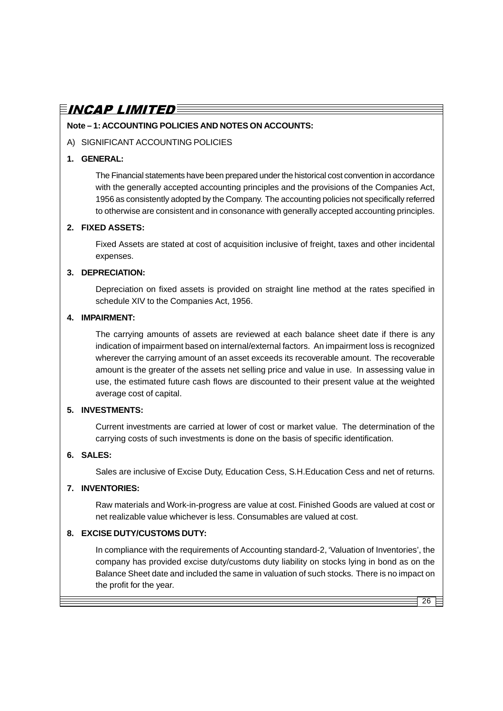### $\bar{\bm{\Xi}}$ incap limited $\bar{\bm{\Xi}}$

### **Note – 1: ACCOUNTING POLICIES AND NOTES ON ACCOUNTS:**

### A) SIGNIFICANT ACCOUNTING POLICIES

### **1. GENERAL:**

The Financial statements have been prepared under the historical cost convention in accordance with the generally accepted accounting principles and the provisions of the Companies Act, 1956 as consistently adopted by the Company. The accounting policies not specifically referred to otherwise are consistent and in consonance with generally accepted accounting principles.

### **2. FIXED ASSETS:**

Fixed Assets are stated at cost of acquisition inclusive of freight, taxes and other incidental expenses.

#### **3. DEPRECIATION:**

Depreciation on fixed assets is provided on straight line method at the rates specified in schedule XIV to the Companies Act, 1956.

#### **4. IMPAIRMENT:**

The carrying amounts of assets are reviewed at each balance sheet date if there is any indication of impairment based on internal/external factors. An impairment loss is recognized wherever the carrying amount of an asset exceeds its recoverable amount. The recoverable amount is the greater of the assets net selling price and value in use. In assessing value in use, the estimated future cash flows are discounted to their present value at the weighted average cost of capital.

#### **5. INVESTMENTS:**

Current investments are carried at lower of cost or market value. The determination of the carrying costs of such investments is done on the basis of specific identification.

### **6. SALES:**

Sales are inclusive of Excise Duty, Education Cess, S.H.Education Cess and net of returns.

### **7. INVENTORIES:**

Raw materials and Work-in-progress are value at cost. Finished Goods are valued at cost or net realizable value whichever is less. Consumables are valued at cost.

#### **8. EXCISE DUTY/CUSTOMS DUTY:**

In compliance with the requirements of Accounting standard-2, 'Valuation of Inventories', the company has provided excise duty/customs duty liability on stocks lying in bond as on the Balance Sheet date and included the same in valuation of such stocks. There is no impact on the profit for the year.

 $26E$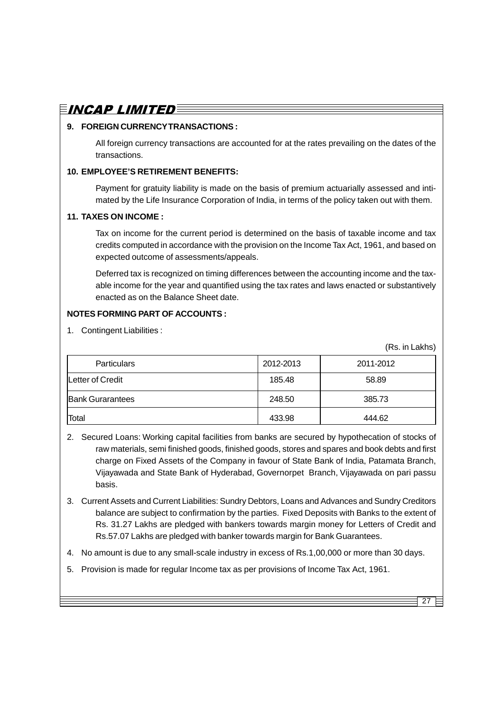### $\bar{\bm{\Xi}}$ incap limited $\bar{\bm{\Xi}}$

#### **9. FOREIGN CURRENCY TRANSACTIONS :**

All foreign currency transactions are accounted for at the rates prevailing on the dates of the transactions.

#### **10. EMPLOYEE'S RETIREMENT BENEFITS:**

Payment for gratuity liability is made on the basis of premium actuarially assessed and intimated by the Life Insurance Corporation of India, in terms of the policy taken out with them.

#### **11. TAXES ON INCOME :**

Tax on income for the current period is determined on the basis of taxable income and tax credits computed in accordance with the provision on the Income Tax Act, 1961, and based on expected outcome of assessments/appeals.

Deferred tax is recognized on timing differences between the accounting income and the taxable income for the year and quantified using the tax rates and laws enacted or substantively enacted as on the Balance Sheet date.

### **NOTES FORMING PART OF ACCOUNTS :**

1. Contingent Liabilities :

(Rs. in Lakhs)

| <b>Particulars</b>      | 2012-2013 | 2011-2012 |
|-------------------------|-----------|-----------|
| Letter of Credit        | 185.48    | 58.89     |
| <b>Bank Gurarantees</b> | 248.50    | 385.73    |
| Total                   | 433.98    | 444.62    |

- 2. Secured Loans: Working capital facilities from banks are secured by hypothecation of stocks of raw materials, semi finished goods, finished goods, stores and spares and book debts and first charge on Fixed Assets of the Company in favour of State Bank of India, Patamata Branch, Vijayawada and State Bank of Hyderabad, Governorpet Branch, Vijayawada on pari passu basis.
- 3. Current Assets and Current Liabilities: Sundry Debtors, Loans and Advances and Sundry Creditors balance are subject to confirmation by the parties. Fixed Deposits with Banks to the extent of Rs. 31.27 Lakhs are pledged with bankers towards margin money for Letters of Credit and Rs.57.07 Lakhs are pledged with banker towards margin for Bank Guarantees.
- 4. No amount is due to any small-scale industry in excess of Rs.1,00,000 or more than 30 days.
- 5. Provision is made for regular Income tax as per provisions of Income Tax Act, 1961.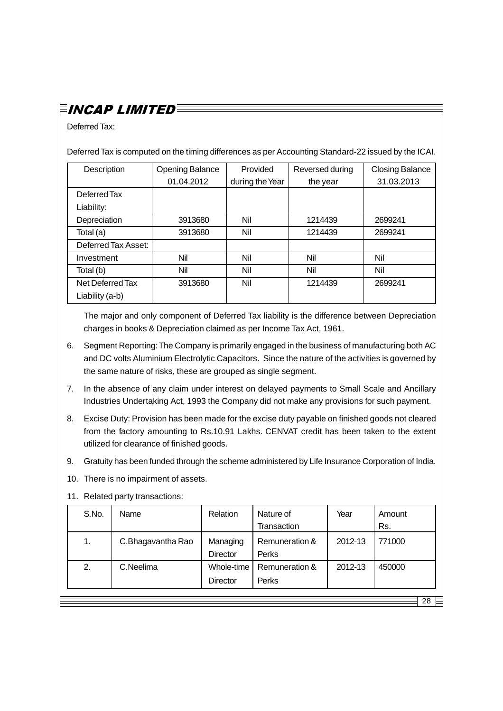Deferred Tax:

Deferred Tax is computed on the timing differences as per Accounting Standard-22 issued by the ICAI.

| Description         | <b>Opening Balance</b> | Provided        | Reversed during | <b>Closing Balance</b> |
|---------------------|------------------------|-----------------|-----------------|------------------------|
|                     | 01.04.2012             | during the Year | the year        | 31.03.2013             |
| Deferred Tax        |                        |                 |                 |                        |
| Liability:          |                        |                 |                 |                        |
| Depreciation        | 3913680                | Nil             | 1214439         | 2699241                |
| Total (a)           | 3913680                | Nil             | 1214439         | 2699241                |
| Deferred Tax Asset: |                        |                 |                 |                        |
| Investment          | Nil                    | Nil             | Nil             | Nil                    |
| Total (b)           | Nil                    | Nil             | Nil             | Nil                    |
| Net Deferred Tax    | 3913680                | Nil             | 1214439         | 2699241                |
| Liability (a-b)     |                        |                 |                 |                        |

The major and only component of Deferred Tax liability is the difference between Depreciation charges in books & Depreciation claimed as per Income Tax Act, 1961.

- 6. Segment Reporting: The Company is primarily engaged in the business of manufacturing both AC and DC volts Aluminium Electrolytic Capacitors. Since the nature of the activities is governed by the same nature of risks, these are grouped as single segment.
- 7. In the absence of any claim under interest on delayed payments to Small Scale and Ancillary Industries Undertaking Act, 1993 the Company did not make any provisions for such payment.
- 8. Excise Duty: Provision has been made for the excise duty payable on finished goods not cleared from the factory amounting to Rs.10.91 Lakhs. CENVAT credit has been taken to the extent utilized for clearance of finished goods.
- 9. Gratuity has been funded through the scheme administered by Life Insurance Corporation of India.
- 10. There is no impairment of assets.

| S.No. | Name              | Relation   | Nature of      | Year    | Amount |
|-------|-------------------|------------|----------------|---------|--------|
|       |                   |            | Transaction    |         | Rs.    |
| 1.    | C.Bhagavantha Rao | Managing   | Remuneration & | 2012-13 | 771000 |
|       |                   | Director   | <b>Perks</b>   |         |        |
| 2.    | C.Neelima         | Whole-time | Remuneration & | 2012-13 | 450000 |
|       |                   | Director   | Perks          |         |        |
|       |                   |            |                |         |        |
|       |                   |            |                |         | 28     |

11. Related party transactions: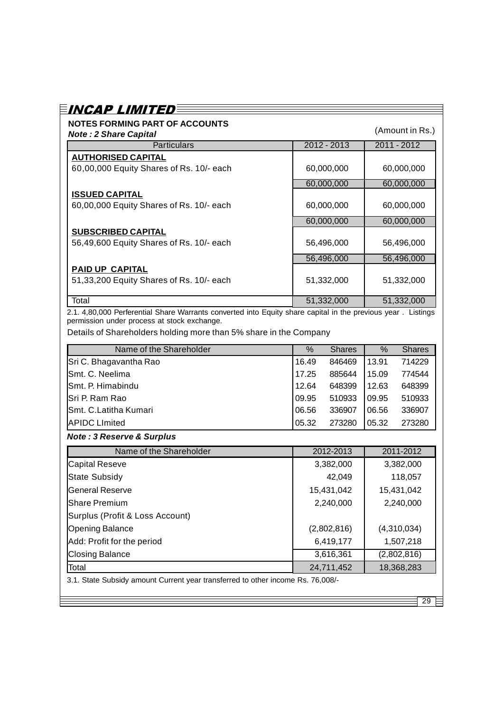| <b>Note: 2 Share Capital</b>                                          |                |                  |                | (Amount in Rs.)                                       |  |
|-----------------------------------------------------------------------|----------------|------------------|----------------|-------------------------------------------------------|--|
| <b>Particulars</b>                                                    |                | $2012 - 2013$    |                | $2011 - 2012$                                         |  |
| <b>AUTHORISED CAPITAL</b><br>60,00,000 Equity Shares of Rs. 10/- each | 60,000,000     |                  |                | 60,000,000                                            |  |
|                                                                       |                |                  |                | 60,000,000                                            |  |
| <b>ISSUED CAPITAL</b>                                                 | 60,000,000     |                  |                |                                                       |  |
| 60,00,000 Equity Shares of Rs. 10/- each                              | 60,000,000     |                  | 60,000,000     |                                                       |  |
|                                                                       |                | 60,000,000       |                | 60,000,000                                            |  |
| <b>SUBSCRIBED CAPITAL</b>                                             |                |                  |                |                                                       |  |
| 56,49,600 Equity Shares of Rs. 10/- each                              |                | 56,496,000       |                | 56,496,000                                            |  |
|                                                                       |                | 56,496,000       |                | 56,496,000                                            |  |
| <b>PAID UP CAPITAL</b>                                                |                |                  |                |                                                       |  |
| 51,33,200 Equity Shares of Rs. 10/- each                              |                | 51,332,000       |                | 51,332,000                                            |  |
| Total                                                                 |                | 51,332,000       |                | 51,332,000                                            |  |
| Details of Shareholders holding more than 5% share in the Company     |                |                  |                |                                                       |  |
|                                                                       |                |                  |                |                                                       |  |
| Name of the Shareholder                                               | %              | <b>Shares</b>    | %              |                                                       |  |
| Sri C. Bhagavantha Rao<br>Smt. C. Neelima                             | 16.49<br>17.25 | 846469<br>885644 | 13.91<br>15.09 |                                                       |  |
| Smt. P. Himabindu                                                     | 12.64          | 648399           | 12.63          |                                                       |  |
| Sri P. Ram Rao                                                        | 09.95          | 510933           | 09.95          | <b>Shares</b><br>714229<br>774544<br>648399<br>510933 |  |
| Smt. C.Latitha Kumari                                                 | 06.56          | 336907           | 06.56          |                                                       |  |
| <b>APIDC LImited</b>                                                  | 05.32          | 273280           | 05.32          |                                                       |  |
|                                                                       |                |                  |                |                                                       |  |
| <b>Note: 3 Reserve &amp; Surplus</b><br>Name of the Shareholder       |                | 2012-2013        |                | 2011-2012                                             |  |
| <b>Capital Reseve</b>                                                 |                | 3,382,000        |                | 336907<br>273280<br>3,382,000                         |  |
| <b>State Subsidy</b>                                                  |                | 42,049           |                | 118,057                                               |  |
| <b>General Reserve</b>                                                |                | 15,431,042       |                | 15,431,042                                            |  |
| <b>Share Premium</b>                                                  |                | 2,240,000        |                | 2,240,000                                             |  |
| Surplus (Profit & Loss Account)                                       |                |                  |                |                                                       |  |
| <b>Opening Balance</b>                                                |                | (2,802,816)      |                | (4,310,034)                                           |  |
| Add: Profit for the period                                            |                | 6,419,177        |                | 1,507,218                                             |  |
| <b>Closing Balance</b>                                                |                | 3,616,361        |                | (2,802,816)                                           |  |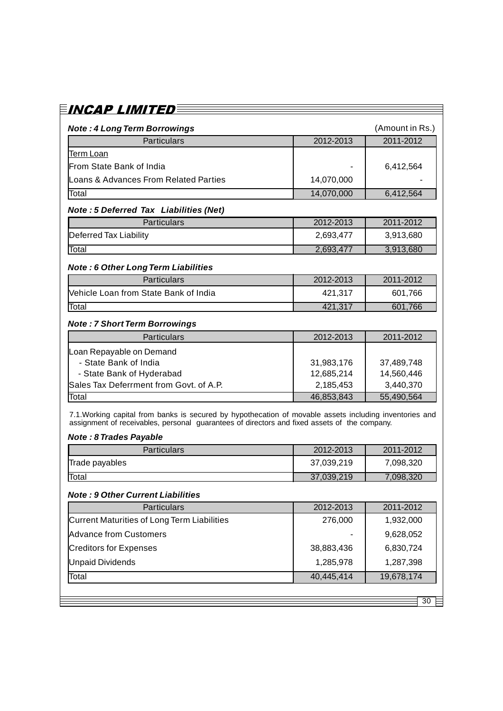| E <i>incap Limited</i> =                                                                                                                                                                                |            |                 |
|---------------------------------------------------------------------------------------------------------------------------------------------------------------------------------------------------------|------------|-----------------|
| <b>Note: 4 Long Term Borrowings</b>                                                                                                                                                                     |            | (Amount in Rs.) |
| <b>Particulars</b>                                                                                                                                                                                      | 2012-2013  | 2011-2012       |
| <b>Term Loan</b>                                                                                                                                                                                        |            |                 |
| From State Bank of India                                                                                                                                                                                |            | 6,412,564       |
| Loans & Advances From Related Parties                                                                                                                                                                   | 14,070,000 |                 |
| Total                                                                                                                                                                                                   | 14,070,000 | 6,412,564       |
| <b>Note: 5 Deferred Tax Liabilities (Net)</b>                                                                                                                                                           |            |                 |
| <b>Particulars</b>                                                                                                                                                                                      | 2012-2013  | 2011-2012       |
| Deferred Tax Liability                                                                                                                                                                                  | 2,693,477  | 3,913,680       |
| Total                                                                                                                                                                                                   | 2,693,477  | 3,913,680       |
| <b>Note: 6 Other Long Term Liabilities</b>                                                                                                                                                              |            |                 |
| <b>Particulars</b>                                                                                                                                                                                      | 2012-2013  | 2011-2012       |
| Vehicle Loan from State Bank of India                                                                                                                                                                   | 421,317    | 601,766         |
| <b>Total</b>                                                                                                                                                                                            | 421,317    | 601,766         |
| <b>Note: 7 Short Term Borrowings</b>                                                                                                                                                                    |            |                 |
| <b>Particulars</b>                                                                                                                                                                                      | 2012-2013  | 2011-2012       |
| Loan Repayable on Demand                                                                                                                                                                                |            |                 |
| - State Bank of India                                                                                                                                                                                   | 31,983,176 | 37,489,748      |
| - State Bank of Hyderabad                                                                                                                                                                               | 12,685,214 | 14,560,446      |
| Sales Tax Deferrment from Govt. of A.P.                                                                                                                                                                 | 2,185,453  | 3,440,370       |
| <b>Total</b>                                                                                                                                                                                            | 46,853,843 | 55,490,564      |
| 7.1. Working capital from banks is secured by hypothecation of movable assets including inventories and<br>assignment of receivables, personal guarantees of directors and fixed assets of the company. |            |                 |
| <b>Note: 8 Trades Payable</b>                                                                                                                                                                           |            |                 |
| <b>Particulars</b>                                                                                                                                                                                      | 2012-2013  | 2011-2012       |
| Trade payables                                                                                                                                                                                          | 37,039,219 | 7,098,320       |
| <b>Total</b>                                                                                                                                                                                            | 37,039,219 | 7,098,320       |
| <b>Note: 9 Other Current Liabilities</b>                                                                                                                                                                |            |                 |
| <b>Particulars</b>                                                                                                                                                                                      | 2012-2013  | 2011-2012       |
| Current Maturities of Long Term Liabilities                                                                                                                                                             | 276 NN     | 1.932.000       |

| Particulars                                 | 2012-2013  | 2011-2012  |
|---------------------------------------------|------------|------------|
| Current Maturities of Long Term Liabilities | 276,000    | 1,932,000  |
| Advance from Customers                      |            | 9,628,052  |
| <b>Creditors for Expenses</b>               | 38,883,436 | 6,830,724  |
| Unpaid Dividends                            | 1,285,978  | 1,287,398  |
| Total                                       | 40,445,414 | 19,678,174 |
|                                             |            |            |
|                                             |            | 30         |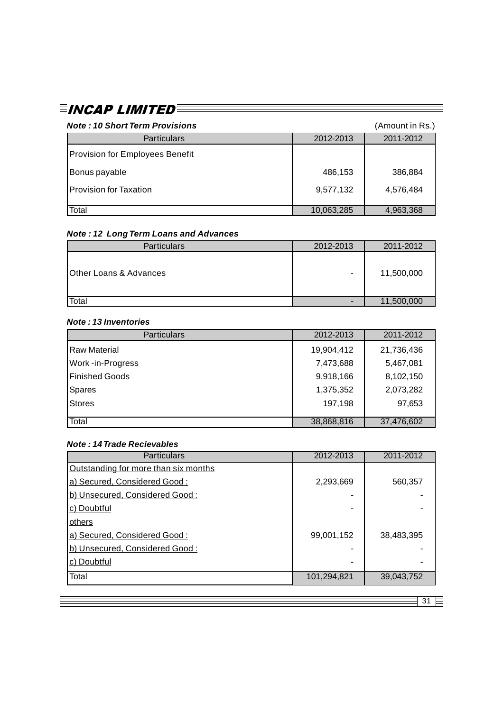| <i><b>INCAP LIMITED</b></i>                  |             |                 |
|----------------------------------------------|-------------|-----------------|
| <b>Note: 10 Short Term Provisions</b>        |             | (Amount in Rs.) |
| <b>Particulars</b>                           | 2012-2013   | 2011-2012       |
| Provision for Employees Benefit              |             |                 |
| Bonus payable                                | 486,153     | 386,884         |
| <b>Provision for Taxation</b>                | 9,577,132   | 4,576,484       |
| Total                                        | 10,063,285  | 4,963,368       |
| <b>Note: 12 Long Term Loans and Advances</b> |             |                 |
| Particulars                                  | 2012-2013   | 2011-2012       |
|                                              |             |                 |
| Other Loans & Advances                       |             | 11,500,000      |
|                                              |             |                 |
| Total                                        | ٠           | 11,500,000      |
| <b>Note: 13 Inventories</b>                  |             |                 |
| <b>Particulars</b>                           | 2012-2013   | 2011-2012       |
| <b>Raw Material</b>                          | 19,904,412  | 21,736,436      |
| Work -in-Progress                            | 7,473,688   | 5,467,081       |
| <b>Finished Goods</b>                        | 9,918,166   | 8,102,150       |
| Spares                                       | 1,375,352   | 2,073,282       |
| <b>Stores</b>                                | 197,198     | 97,653          |
| Total                                        | 38,868,816  | 37,476,602      |
| <b>Note: 14 Trade Recievables</b>            |             |                 |
| <b>Particulars</b>                           | 2012-2013   | 2011-2012       |
| Outstanding for more than six months         |             |                 |
| a) Secured, Considered Good:                 | 2,293,669   | 560,357         |
| b) Unsecured, Considered Good:               |             |                 |
| c) Doubtful                                  |             |                 |
| others                                       |             |                 |
| a) Secured, Considered Good:                 | 99,001,152  | 38,483,395      |
| b) Unsecured, Considered Good:               |             |                 |
| c) Doubtful                                  |             |                 |
| Total                                        | 101,294,821 | 39,043,752      |
|                                              |             |                 |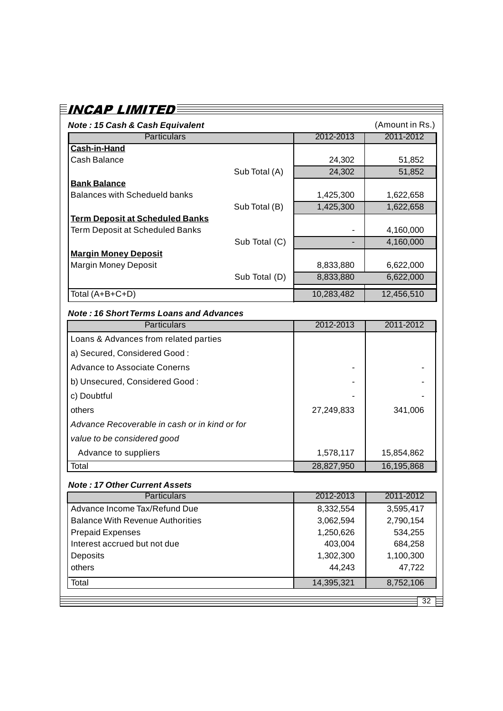| <i><b>INCAP LIMITED</b></i>                    |               |                        |                        |
|------------------------------------------------|---------------|------------------------|------------------------|
| Note: 15 Cash & Cash Equivalent                |               |                        | (Amount in Rs.)        |
| <b>Particulars</b>                             |               | 2012-2013              | 2011-2012              |
| <b>Cash-in-Hand</b>                            |               |                        |                        |
| Cash Balance                                   |               | 24,302                 | 51,852                 |
|                                                | Sub Total (A) | 24,302                 | 51,852                 |
| <b>Bank Balance</b>                            |               |                        |                        |
| <b>Balances with Schedueld banks</b>           |               | 1,425,300<br>1,425,300 | 1,622,658<br>1,622,658 |
| Term Deposit at Scheduled Banks                | Sub Total (B) |                        |                        |
| Term Deposit at Scheduled Banks                |               |                        | 4,160,000              |
|                                                | Sub Total (C) |                        | 4,160,000              |
| <b>Margin Money Deposit</b>                    |               |                        |                        |
| <b>Margin Money Deposit</b>                    |               | 8,833,880              | 6,622,000              |
|                                                | Sub Total (D) | 8,833,880              | 6,622,000              |
| Total (A+B+C+D)                                |               | 10,283,482             | 12,456,510             |
| <b>Note: 16 Short Terms Loans and Advances</b> |               |                        |                        |
| <b>Particulars</b>                             |               | 2012-2013              | 2011-2012              |
| Loans & Advances from related parties          |               |                        |                        |
| a) Secured, Considered Good:                   |               |                        |                        |
| <b>Advance to Associate Conerns</b>            |               |                        |                        |
| b) Unsecured, Considered Good:                 |               |                        |                        |
| c) Doubtful                                    |               |                        |                        |
| others                                         |               | 27,249,833             | 341,006                |
| Advance Recoverable in cash or in kind or for  |               |                        |                        |
| value to be considered good                    |               |                        |                        |
| Advance to suppliers                           |               | 1,578,117              | 15,854,862             |
| Total                                          |               | 28,827,950             | 16,195,868             |
| <b>Note: 17 Other Current Assets</b>           |               |                        |                        |
| <b>Particulars</b>                             |               | 2012-2013              | 2011-2012              |
| Advance Income Tax/Refund Due                  |               | 8,332,554              | 3,595,417              |
| <b>Balance With Revenue Authorities</b>        |               | 3,062,594              | 2,790,154              |
| <b>Prepaid Expenses</b>                        |               | 1,250,626              | 534,255                |
| Interest accrued but not due                   |               | 403,004                | 684,258                |
| Deposits                                       |               | 1,302,300              | 1,100,300              |
| others                                         |               | 44,243                 | 47,722                 |
| Total                                          |               | 14,395,321             | 8,752,106              |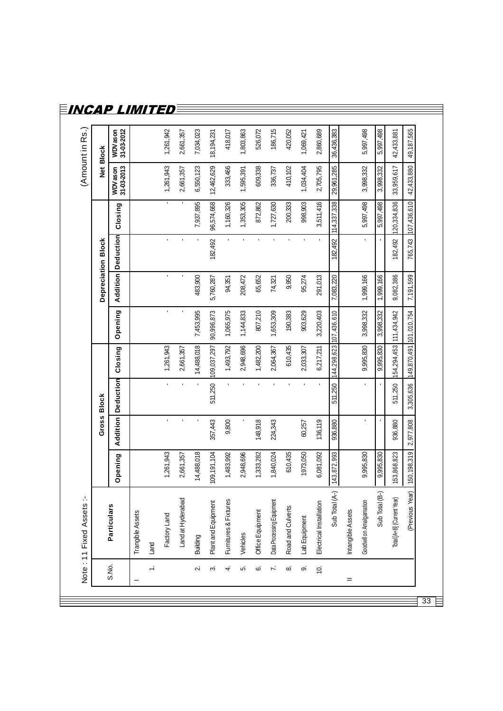|               |                            |              |                 | Gross Block    |                         |             | Depreciation Block |                           |                |                         | <b>Net Block</b>        |
|---------------|----------------------------|--------------|-----------------|----------------|-------------------------|-------------|--------------------|---------------------------|----------------|-------------------------|-------------------------|
| S.No.         | <b>Particulars</b>         | Opening      | <b>Addition</b> | Deduction      | Closing                 | Opening     |                    | <b>Addition Deduction</b> | Closing        | WDV as on<br>31-03-2013 | 31-03-2012<br>WDV as on |
|               | Trangible Assets           |              |                 |                |                         |             |                    |                           |                |                         |                         |
| $\div$        | Land                       |              |                 |                |                         |             |                    |                           |                |                         |                         |
|               | Factory Land               | 1,261,943    | $\blacksquare$  |                | 1,261,943               |             |                    | $\blacksquare$            | $\mathbf{r}$   | 1,261,943               | 1,261,942               |
|               | Land at Hyderabad          | 2,661,357    | $\blacksquare$  | $\mathbf{r}$   | 2,661,357               |             |                    |                           | $\blacksquare$ | 2,661,357               | 2,661,357               |
| $\sim$        | Building                   | 14,488,018   |                 | $\blacksquare$ | 14,488,018              | 7,453,995   | 483,900            | $\blacksquare$            | 7,937,895      | 6,550,123               | 7,034,023               |
| $\sim$        | Plant and Equipment        | 09,191,104   | 357,443         | 511,250        | 109,037,297             | 90,996,873  | 5,760,287          | 182,492                   | 96,574,668     | 12,462,629              | 18,194,231              |
| 4.            | Furnitures & Fixtures      | 1,483,992    | 9,800           |                | 1,493,792               | 1,065,975   | 94,351             | $\blacksquare$            | 1,160,326      | 333,466                 | 418,017                 |
| ιó.           | Vehicles                   | 2,948,696    |                 |                | 2,948,696               | 1,144,833   | 208,472            | ٠                         | 1,353,305      | 1,595,391               | 1,803,863               |
| ن             | Office Equipment           | 1,333,282    | 148,918         |                | 1,482,200               | 807,210     | 65,652             | $\mathbf{r}$              | 872,862        | 609,338                 | 526,072                 |
| $\ddot{\sim}$ | Data Processing Equipment  | 1,840,024    | 224,343         |                | 2,064,367               | 1,653,309   | 74,321             | $\blacksquare$            | 1,727,630      | 336,737                 | 186,715                 |
| $\infty$      | Road and Culverts          | 610,435      |                 |                | 610,435                 | 190,383     | 9,950              | $\mathbf{r}$              | 200,333        | 410,102                 | 420,052                 |
| တ             | Lab Equipment              | 1973,050     | 60,257          |                | 2,033,307               | 903,629     | 95,274             |                           | 998,903        | 1,034,404               | 1,069,421               |
| Ó.            | Electrical Installation    | 6,081,092    | 136,119         |                | 6,217,211               | 3,220,403   | 291,013            |                           | 3,511,416      | 2,705,795               | 2,860,689               |
|               | Sub Total (A-)             | 43,872,993   | 936,880         | 511,250        | 144,298,623             | 107,436,610 | 7,083,220          | 182,492                   | 114,337,338    | 29,961,285              | 36,436,383              |
|               | Intangible Assets          |              |                 |                |                         |             |                    |                           |                |                         |                         |
|               | Goodwill on Amalgamation   | 9,995,830    |                 | $\blacksquare$ | 9,995,830               | 3,998,332   | 1,999,166          |                           | 5,997,498      | 3,998,332               | 5,997,498               |
|               | Sub Total (B-)             | 9,995,830    |                 |                | 9,995,830               | 3,998,332   | 1,999,166          |                           | 5,997,498      | 3,998,332               | 5,997,498               |
|               | Total [A+B] (Current Year) | 53,868,823   | 936,880         | 511,250        | 154,294,453             | 111,434,942 | 9,082,386          | 182,492                   | 120,334,836    | 33,959,617              | 42,433,881              |
|               | (Previous Year)            | 50, 198, 319 | 2,977,808       | 3,305,636      | 149,870,491 101,010,754 |             | 7,191,599          | 765,743                   | 107,436,610    | 42,433,880              | 49,187,565              |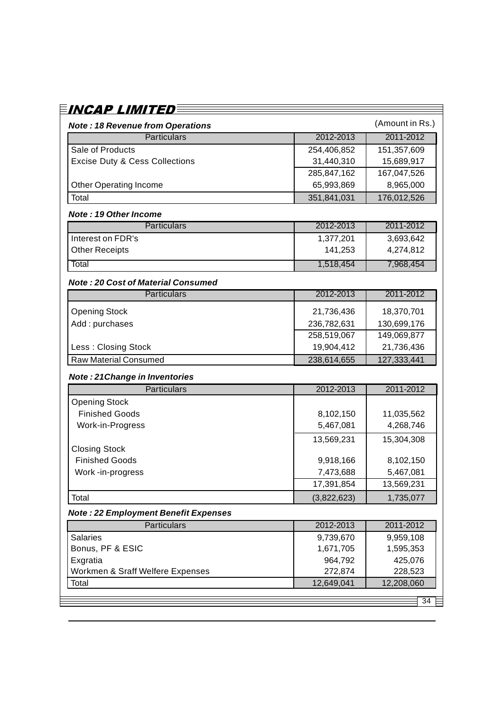| E <i>incap Limited</i> e                    |             |                 |
|---------------------------------------------|-------------|-----------------|
| <b>Note: 18 Revenue from Operations</b>     |             | (Amount in Rs.) |
| <b>Particulars</b>                          | 2012-2013   | 2011-2012       |
| Sale of Products                            | 254,406,852 | 151,357,609     |
| <b>Excise Duty &amp; Cess Collections</b>   | 31,440,310  | 15,689,917      |
|                                             | 285,847,162 | 167,047,526     |
| <b>Other Operating Income</b>               | 65,993,869  | 8,965,000       |
| <b>Total</b>                                | 351,841,031 | 176,012,526     |
| <b>Note: 19 Other Income</b>                |             |                 |
| <b>Particulars</b>                          | 2012-2013   | 2011-2012       |
| Interest on FDR's                           | 1,377,201   | 3,693,642       |
| <b>Other Receipts</b>                       | 141,253     | 4,274,812       |
| Total                                       | 1,518,454   | 7,968,454       |
| <b>Note: 20 Cost of Material Consumed</b>   |             |                 |
| Particulars                                 | 2012-2013   | 2011-2012       |
| <b>Opening Stock</b>                        | 21,736,436  | 18,370,701      |
| Add: purchases                              | 236,782,631 | 130,699,176     |
|                                             | 258,519,067 | 149,069,877     |
| Less: Closing Stock                         | 19,904,412  | 21,736,436      |
| <b>Raw Material Consumed</b>                | 238,614,655 | 127,333,441     |
| Note: 21 Change in Inventories              |             |                 |
| <b>Particulars</b>                          | 2012-2013   | 2011-2012       |
| <b>Opening Stock</b>                        |             |                 |
| <b>Finished Goods</b>                       | 8,102,150   | 11,035,562      |
| Work-in-Progress                            | 5,467,081   | 4,268,746       |
|                                             | 13,569,231  | 15,304,308      |
| <b>Closing Stock</b>                        |             |                 |
| <b>Finished Goods</b>                       | 9,918,166   | 8,102,150       |
| Work -in-progress                           | 7,473,688   | 5,467,081       |
|                                             | 17,391,854  | 13,569,231      |
| Total                                       | (3,822,623) | 1,735,077       |
| <b>Note: 22 Employment Benefit Expenses</b> |             |                 |
| <b>Particulars</b>                          | 2012-2013   | 2011-2012       |
| <b>Salaries</b>                             | 9,739,670   | 9,959,108       |
| Bonus, PF & ESIC                            | 1,671,705   | 1,595,353       |
| Exgratia                                    | 964,792     | 425,076         |
| Workmen & Sraff Welfere Expenses            | 272,874     | 228,523         |
| Total                                       | 12,649,041  | 12,208,060      |
|                                             |             | 34              |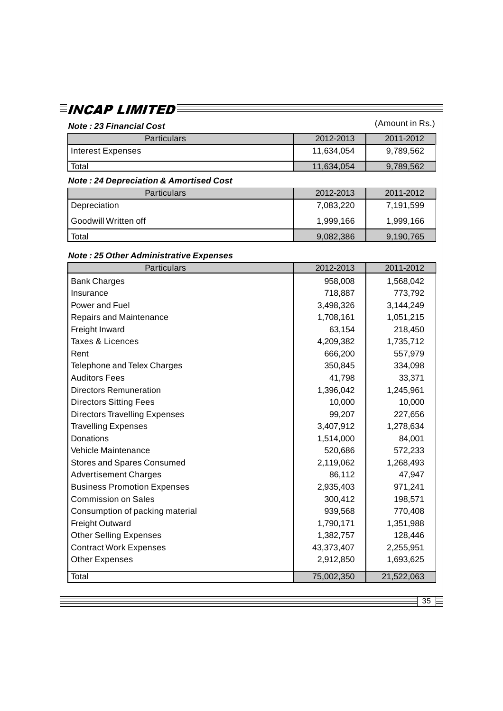| EINCAP LIMITED                                                   |                         |                        |
|------------------------------------------------------------------|-------------------------|------------------------|
| <b>Note: 23 Financial Cost</b>                                   |                         | (Amount in Rs.)        |
| <b>Particulars</b>                                               | 2012-2013               | 2011-2012              |
| <b>Interest Expenses</b>                                         | 11,634,054              | 9,789,562              |
| Total                                                            | 11,634,054              | 9,789,562              |
| <b>Note: 24 Depreciation &amp; Amortised Cost</b>                |                         |                        |
| <b>Particulars</b>                                               | 2012-2013               | 2011-2012              |
| Depreciation                                                     | 7,083,220               | 7,191,599              |
| Goodwill Written off                                             | 1,999,166               | 1,999,166              |
| Total                                                            | 9,082,386               | 9,190,765              |
|                                                                  |                         |                        |
| <b>Note: 25 Other Administrative Expenses</b>                    |                         |                        |
| Particulars                                                      | 2012-2013               | 2011-2012              |
| <b>Bank Charges</b>                                              | 958,008                 | 1,568,042              |
| Insurance<br>Power and Fuel                                      | 718,887                 | 773,792                |
|                                                                  | 3,498,326               | 3,144,249              |
| Repairs and Maintenance                                          | 1,708,161               | 1,051,215              |
| Freight Inward                                                   | 63,154                  | 218,450                |
| Taxes & Licences                                                 | 4,209,382               | 1,735,712              |
| Rent                                                             | 666,200                 | 557,979                |
| Telephone and Telex Charges                                      | 350,845                 | 334,098                |
| <b>Auditors Fees</b>                                             | 41,798                  | 33,371                 |
| <b>Directors Remuneration</b>                                    | 1,396,042               | 1,245,961              |
| <b>Directors Sitting Fees</b>                                    | 10,000                  | 10,000                 |
| <b>Directors Travelling Expenses</b>                             | 99,207                  | 227,656                |
| <b>Travelling Expenses</b><br>Donations                          | 3,407,912               | 1,278,634              |
| Vehicle Maintenance                                              | 1,514,000               | 84,001                 |
| <b>Stores and Spares Consumed</b>                                | 520,686                 | 572,233                |
| <b>Advertisement Charges</b>                                     | 2,119,062<br>86,112     | 1,268,493<br>47,947    |
|                                                                  |                         |                        |
| <b>Business Promotion Expenses</b><br><b>Commission on Sales</b> | 2,935,403<br>300,412    | 971,241                |
| Consumption of packing material                                  | 939,568                 | 198,571<br>770,408     |
| Freight Outward                                                  | 1,790,171               | 1,351,988              |
| <b>Other Selling Expenses</b>                                    |                         |                        |
|                                                                  | 1,382,757               | 128,446                |
| <b>Contract Work Expenses</b><br>Other Expenses                  | 43,373,407<br>2,912,850 | 2,255,951<br>1,693,625 |
|                                                                  |                         |                        |
| Total                                                            | 75,002,350              | 21,522,063             |
|                                                                  |                         | 35                     |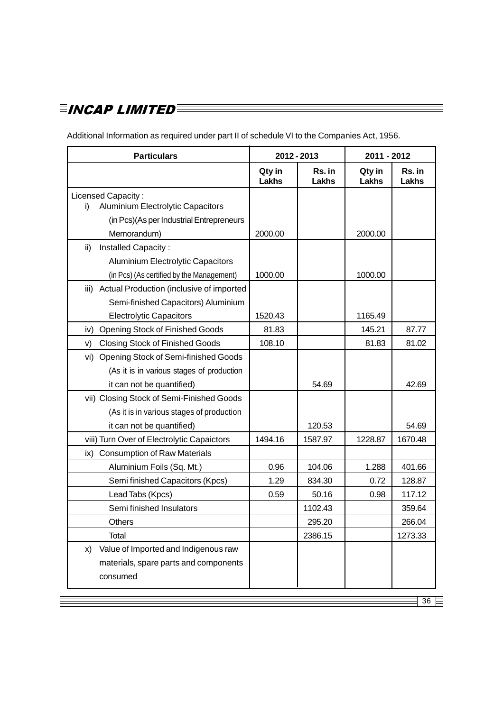Additional Information as required under part II of schedule VI to the Companies Act, 1956.

| <b>Particulars</b>                                                                                         |                 | 2012 - 2013     | 2011 - 2012     |                 |
|------------------------------------------------------------------------------------------------------------|-----------------|-----------------|-----------------|-----------------|
|                                                                                                            | Qty in<br>Lakhs | Rs. in<br>Lakhs | Qty in<br>Lakhs | Rs. in<br>Lakhs |
| Licensed Capacity:<br>Aluminium Electrolytic Capacitors<br>i)<br>(in Pcs) (As per Industrial Entrepreneurs |                 |                 |                 |                 |
| Memorandum)                                                                                                | 2000.00         |                 | 2000.00         |                 |
| Installed Capacity:<br>ii)                                                                                 |                 |                 |                 |                 |
| Aluminium Electrolytic Capacitors                                                                          |                 |                 |                 |                 |
| (in Pcs) (As certified by the Management)                                                                  | 1000.00         |                 | 1000.00         |                 |
| iii) Actual Production (inclusive of imported                                                              |                 |                 |                 |                 |
| Semi-finished Capacitors) Aluminium                                                                        |                 |                 |                 |                 |
| <b>Electrolytic Capacitors</b>                                                                             | 1520.43         |                 | 1165.49         |                 |
| Opening Stock of Finished Goods<br>iv)                                                                     | 81.83           |                 | 145.21          | 87.77           |
| <b>Closing Stock of Finished Goods</b><br>V)                                                               | 108.10          |                 | 81.83           | 81.02           |
| vi) Opening Stock of Semi-finished Goods                                                                   |                 |                 |                 |                 |
| (As it is in various stages of production                                                                  |                 |                 |                 |                 |
| it can not be quantified)                                                                                  |                 | 54.69           |                 | 42.69           |
| vii) Closing Stock of Semi-Finished Goods                                                                  |                 |                 |                 |                 |
| (As it is in various stages of production                                                                  |                 |                 |                 |                 |
| it can not be quantified)                                                                                  |                 | 120.53          |                 | 54.69           |
| viii) Turn Over of Electrolytic Capaictors                                                                 | 1494.16         | 1587.97         | 1228.87         | 1670.48         |
| <b>Consumption of Raw Materials</b><br>ix)                                                                 |                 |                 |                 |                 |
| Aluminium Foils (Sq. Mt.)                                                                                  | 0.96            | 104.06          | 1.288           | 401.66          |
| Semi finished Capacitors (Kpcs)                                                                            | 1.29            | 834.30          | 0.72            | 128.87          |
| Lead Tabs (Kpcs)                                                                                           | 0.59            | 50.16           | 0.98            | 117.12          |
| Semi finished Insulators                                                                                   |                 | 1102.43         |                 | 359.64          |
| <b>Others</b>                                                                                              |                 | 295.20          |                 | 266.04          |
| Total                                                                                                      |                 | 2386.15         |                 | 1273.33         |
| Value of Imported and Indigenous raw<br>X)                                                                 |                 |                 |                 |                 |
| materials, spare parts and components                                                                      |                 |                 |                 |                 |
| consumed                                                                                                   |                 |                 |                 |                 |
|                                                                                                            |                 |                 |                 | 36              |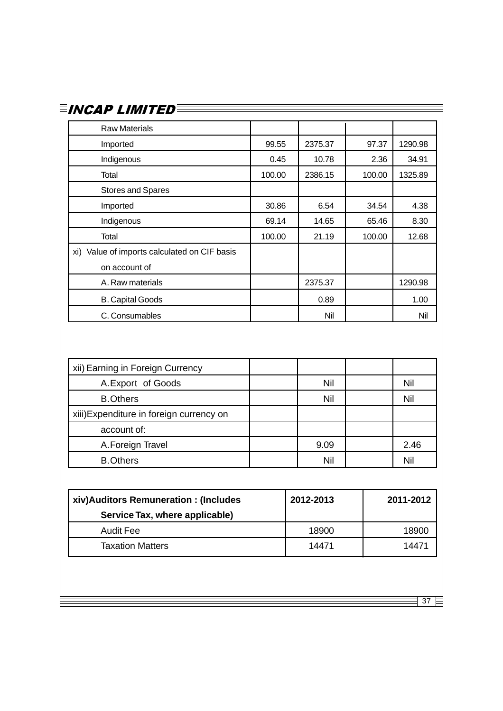| <b>Raw Materials</b>                                             |        |         |        |         |
|------------------------------------------------------------------|--------|---------|--------|---------|
| Imported                                                         | 99.55  | 2375.37 | 97.37  | 1290.98 |
| Indigenous                                                       | 0.45   | 10.78   | 2.36   | 34.91   |
| Total                                                            | 100.00 | 2386.15 | 100.00 | 1325.89 |
| <b>Stores and Spares</b>                                         |        |         |        |         |
| Imported                                                         | 30.86  | 6.54    | 34.54  | 4.38    |
| Indigenous                                                       | 69.14  | 14.65   | 65.46  | 8.30    |
| Total                                                            | 100.00 | 21.19   | 100.00 | 12.68   |
| Value of imports calculated on CIF basis<br>xi)<br>on account of |        |         |        |         |
| A. Raw materials                                                 |        | 2375.37 |        | 1290.98 |
| <b>B.</b> Capital Goods                                          |        | 0.89    |        | 1.00    |
| C. Consumables                                                   |        | Nil     |        | Nil     |

| xii) Earning in Foreign Currency         |      |      |
|------------------------------------------|------|------|
| A. Export of Goods                       | Nil  | Nil  |
| <b>B.Others</b>                          | Nil  | Nil  |
| xiii) Expenditure in foreign currency on |      |      |
| account of:                              |      |      |
| A. Foreign Travel                        | 9.09 | 2.46 |
| <b>B.Others</b>                          | Nil  | Nil  |

| xiv) Auditors Remuneration: (Includes | 2012-2013 | 2011-2012 |
|---------------------------------------|-----------|-----------|
| Service Tax, where applicable)        |           |           |
| Audit Fee                             | 18900     | 18900     |
| <b>Taxation Matters</b>               | 14471     | 14471     |

 $37 \equiv$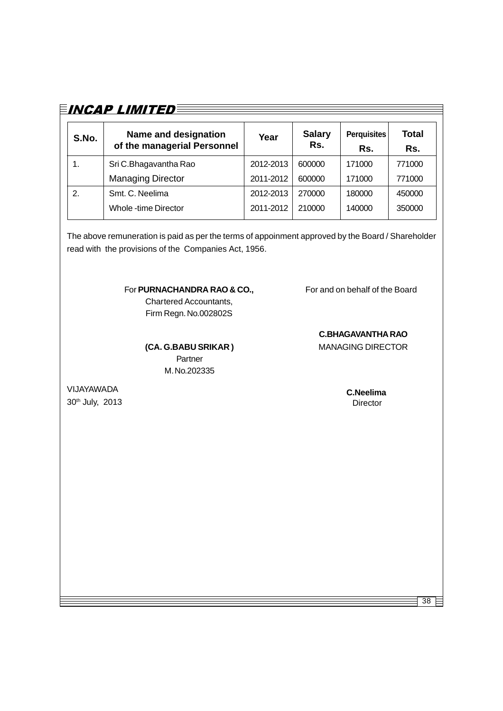| S.No. | Name and designation<br>of the managerial Personnel                     | Year      | <b>Salary</b><br>Rs. | <b>Perquisites</b><br>Rs.                            | <b>Total</b><br>Rs. |
|-------|-------------------------------------------------------------------------|-----------|----------------------|------------------------------------------------------|---------------------|
| 1.    | Sri C.Bhagavantha Rao                                                   | 2012-2013 | 600000               | 171000                                               | 771000              |
|       | <b>Managing Director</b>                                                | 2011-2012 | 600000               | 171000                                               | 771000              |
| 2.    | Smt. C. Neelima                                                         | 2012-2013 | 270000               | 180000                                               | 450000              |
|       | Whole -time Director                                                    | 2011-2012 | 210000               | 140000                                               | 350000              |
|       | For PURNACHANDRA RAO & CO.,<br>Chartered Accountants,                   |           |                      | For and on behalf of the Board                       |                     |
|       | Firm Regn. No.002802S<br>(CA. G.BABU SRIKAR)<br>Partner<br>M. No.202335 |           |                      | <b>C.BHAGAVANTHA RAO</b><br><b>MANAGING DIRECTOR</b> |                     |
|       | VIJAYAWADA                                                              |           |                      | <b>C.Neelima</b>                                     |                     |

 $38 \equiv$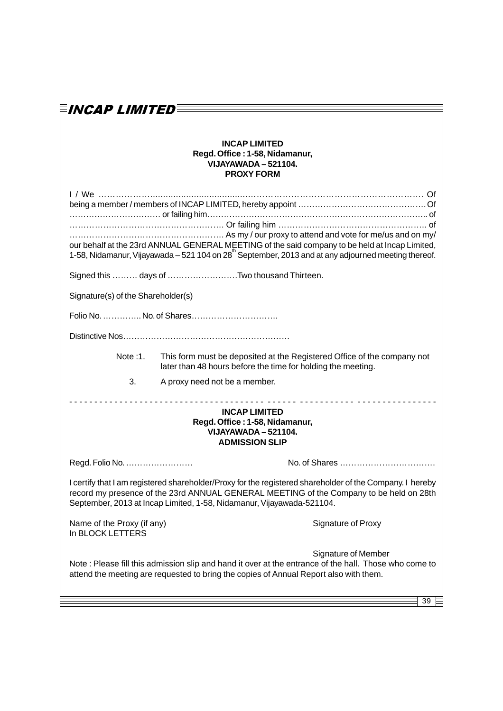| <i>EINCAP LIMITED</i>                                                                                                                                                                                                                                                        |
|------------------------------------------------------------------------------------------------------------------------------------------------------------------------------------------------------------------------------------------------------------------------------|
|                                                                                                                                                                                                                                                                              |
| <b>INCAP LIMITED</b><br>Regd. Office: 1-58, Nidamanur,<br>VIJAYAWADA - 521104.<br><b>PROXY FORM</b>                                                                                                                                                                          |
| our behalf at the 23rd ANNUAL GENERAL MEETING of the said company to be held at Incap Limited,<br>1-58, Nidamanur, Vijayawada - 521 104 on 28 <sup>th</sup> September, 2013 and at any adjourned meeting thereof.                                                            |
| Signed this  days of Two thousand Thirteen.                                                                                                                                                                                                                                  |
| Signature(s) of the Shareholder(s)                                                                                                                                                                                                                                           |
|                                                                                                                                                                                                                                                                              |
|                                                                                                                                                                                                                                                                              |
| Note $:1$ .<br>This form must be deposited at the Registered Office of the company not<br>later than 48 hours before the time for holding the meeting.                                                                                                                       |
| 3.<br>A proxy need not be a member.                                                                                                                                                                                                                                          |
| <b>INCAP LIMITED</b><br>Regd. Office: 1-58, Nidamanur,<br>VIJAYAWADA - 521104.<br><b>ADMISSION SLIP</b>                                                                                                                                                                      |
| Regd. Folio No.                                                                                                                                                                                                                                                              |
| I certify that I am registered shareholder/Proxy for the registered shareholder of the Company. I hereby<br>record my presence of the 23rd ANNUAL GENERAL MEETING of the Company to be held on 28th<br>September, 2013 at Incap Limited, 1-58, Nidamanur, Vijayawada-521104. |
| Name of the Proxy (if any)<br>Signature of Proxy<br>In BLOCK LETTERS                                                                                                                                                                                                         |
| <b>Signature of Member</b><br>Note: Please fill this admission slip and hand it over at the entrance of the hall. Those who come to<br>attend the meeting are requested to bring the copies of Annual Report also with them.                                                 |
| 39                                                                                                                                                                                                                                                                           |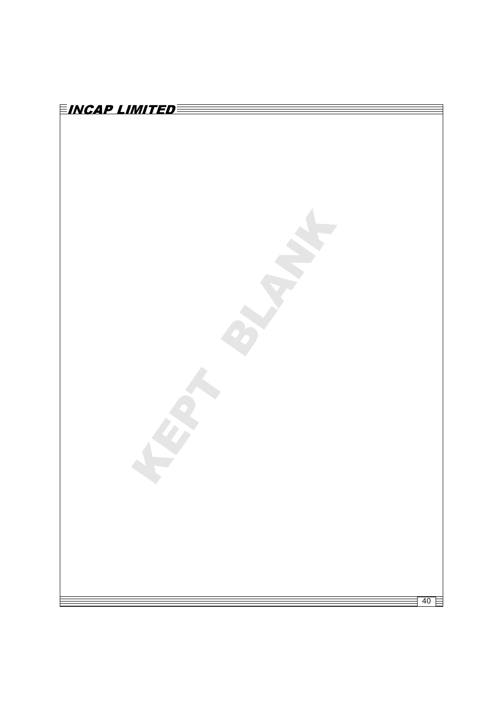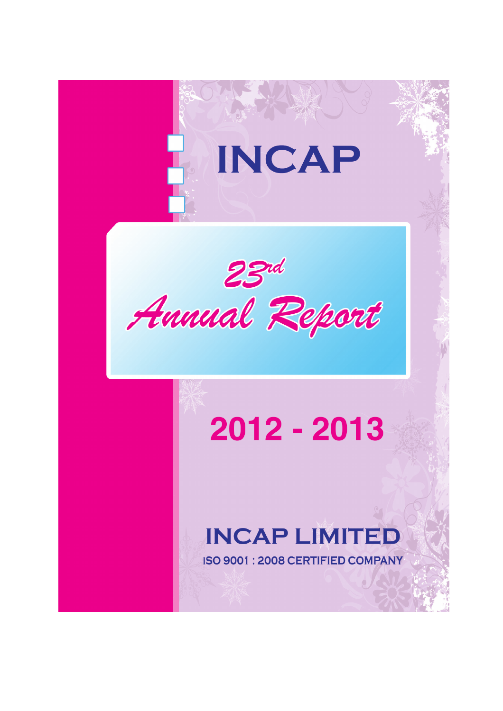

# 2012 - 2013

**INCAP** 

# **INCAP LIMITED**

**ISO 9001 : 2008 CERTIFIED COMPANY**